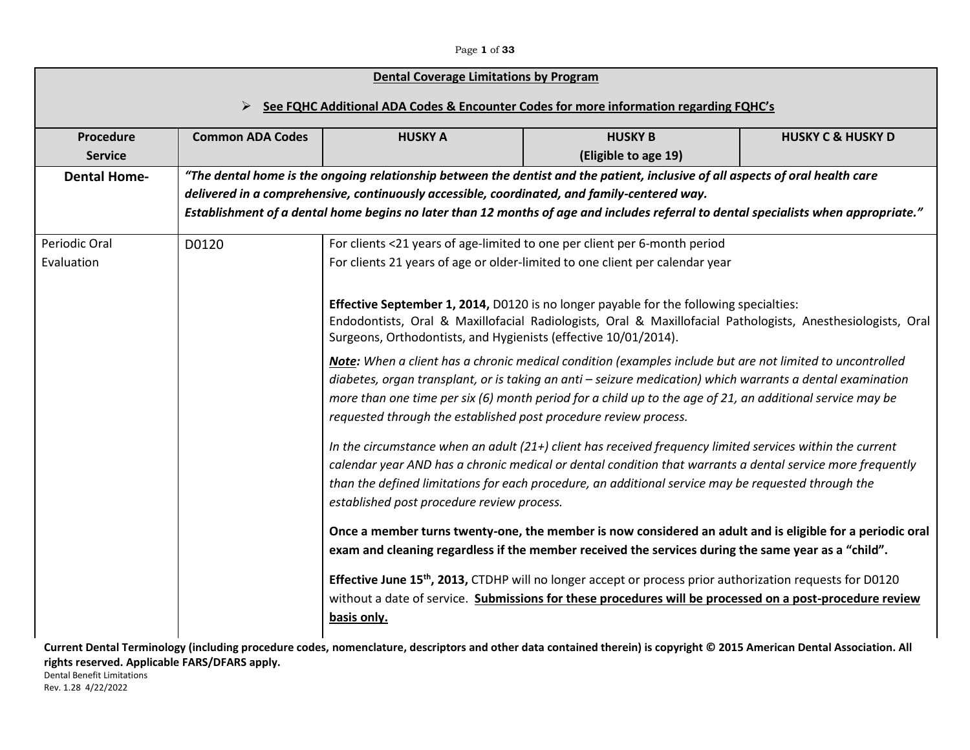### Page **1** of **33**

| <b>Dental Coverage Limitations by Program</b><br>See FQHC Additional ADA Codes & Encounter Codes for more information regarding FQHC's |                                                                                                                                                                                                                                                                                                                                                                                                                                                                                                                                                                                                                                                                                      |                                                                                                                                                           |                                                                                                                                                                                                                                                                                                                                                                                                                                                       |                              |
|----------------------------------------------------------------------------------------------------------------------------------------|--------------------------------------------------------------------------------------------------------------------------------------------------------------------------------------------------------------------------------------------------------------------------------------------------------------------------------------------------------------------------------------------------------------------------------------------------------------------------------------------------------------------------------------------------------------------------------------------------------------------------------------------------------------------------------------|-----------------------------------------------------------------------------------------------------------------------------------------------------------|-------------------------------------------------------------------------------------------------------------------------------------------------------------------------------------------------------------------------------------------------------------------------------------------------------------------------------------------------------------------------------------------------------------------------------------------------------|------------------------------|
| Procedure<br><b>Service</b>                                                                                                            | ➤<br><b>Common ADA Codes</b>                                                                                                                                                                                                                                                                                                                                                                                                                                                                                                                                                                                                                                                         | <b>HUSKY A</b>                                                                                                                                            | <b>HUSKY B</b><br>(Eligible to age 19)                                                                                                                                                                                                                                                                                                                                                                                                                | <b>HUSKY C &amp; HUSKY D</b> |
| <b>Dental Home-</b>                                                                                                                    | "The dental home is the ongoing relationship between the dentist and the patient, inclusive of all aspects of oral health care<br>delivered in a comprehensive, continuously accessible, coordinated, and family-centered way.<br>Establishment of a dental home begins no later than 12 months of age and includes referral to dental specialists when appropriate."                                                                                                                                                                                                                                                                                                                |                                                                                                                                                           |                                                                                                                                                                                                                                                                                                                                                                                                                                                       |                              |
| Periodic Oral<br>Evaluation                                                                                                            | D0120                                                                                                                                                                                                                                                                                                                                                                                                                                                                                                                                                                                                                                                                                | For clients <21 years of age-limited to one per client per 6-month period<br>For clients 21 years of age or older-limited to one client per calendar year |                                                                                                                                                                                                                                                                                                                                                                                                                                                       |                              |
|                                                                                                                                        | Effective September 1, 2014, D0120 is no longer payable for the following specialties:<br>Endodontists, Oral & Maxillofacial Radiologists, Oral & Maxillofacial Pathologists, Anesthesiologists, Oral<br>Surgeons, Orthodontists, and Hygienists (effective 10/01/2014).<br>Note: When a client has a chronic medical condition (examples include but are not limited to uncontrolled<br>diabetes, organ transplant, or is taking an anti - seizure medication) which warrants a dental examination<br>more than one time per six (6) month period for a child up to the age of 21, an additional service may be<br>requested through the established post procedure review process. |                                                                                                                                                           |                                                                                                                                                                                                                                                                                                                                                                                                                                                       |                              |
|                                                                                                                                        |                                                                                                                                                                                                                                                                                                                                                                                                                                                                                                                                                                                                                                                                                      | established post procedure review process.                                                                                                                | In the circumstance when an adult $(21+)$ client has received frequency limited services within the current<br>calendar year AND has a chronic medical or dental condition that warrants a dental service more frequently<br>than the defined limitations for each procedure, an additional service may be requested through the                                                                                                                      |                              |
|                                                                                                                                        |                                                                                                                                                                                                                                                                                                                                                                                                                                                                                                                                                                                                                                                                                      | basis only.                                                                                                                                               | Once a member turns twenty-one, the member is now considered an adult and is eligible for a periodic oral<br>exam and cleaning regardless if the member received the services during the same year as a "child".<br>Effective June 15 <sup>th</sup> , 2013, CTDHP will no longer accept or process prior authorization requests for D0120<br>without a date of service. Submissions for these procedures will be processed on a post-procedure review |                              |

**Current Dental Terminology (including procedure codes, nomenclature, descriptors and other data contained therein) is copyright © 2015 American Dental Association. All rights reserved. Applicable FARS/DFARS apply.** Dental Benefit Limitations

Rev. 1.28 4/22/2022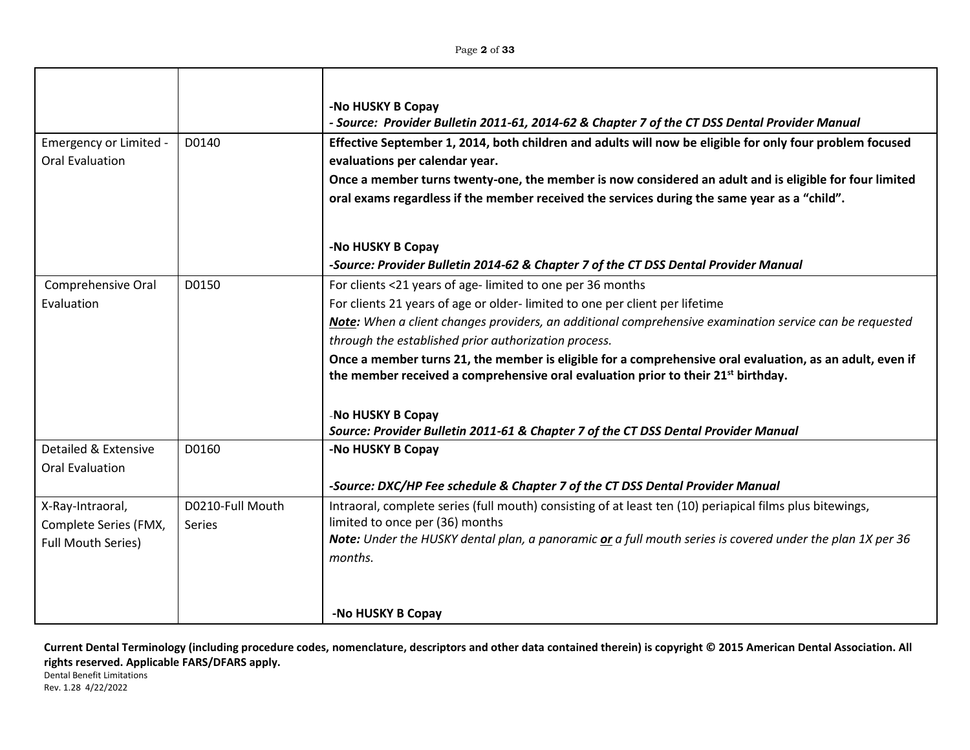Page **2** of **33**

| Emergency or Limited -<br><b>Oral Evaluation</b>                | D0140                             | -No HUSKY B Copay<br>- Source:  Provider Bulletin 2011-61, 2014-62 & Chapter 7 of the CT DSS Dental Provider Manual<br>Effective September 1, 2014, both children and adults will now be eligible for only four problem focused<br>evaluations per calendar year.<br>Once a member turns twenty-one, the member is now considered an adult and is eligible for four limited<br>oral exams regardless if the member received the services during the same year as a "child".                                                                                                                                                         |
|-----------------------------------------------------------------|-----------------------------------|-------------------------------------------------------------------------------------------------------------------------------------------------------------------------------------------------------------------------------------------------------------------------------------------------------------------------------------------------------------------------------------------------------------------------------------------------------------------------------------------------------------------------------------------------------------------------------------------------------------------------------------|
|                                                                 |                                   | -No HUSKY B Copay<br>-Source: Provider Bulletin 2014-62 & Chapter 7 of the CT DSS Dental Provider Manual                                                                                                                                                                                                                                                                                                                                                                                                                                                                                                                            |
| Comprehensive Oral<br>Evaluation                                | D0150                             | For clients <21 years of age-limited to one per 36 months<br>For clients 21 years of age or older-limited to one per client per lifetime<br>Note: When a client changes providers, an additional comprehensive examination service can be requested<br>through the established prior authorization process.<br>Once a member turns 21, the member is eligible for a comprehensive oral evaluation, as an adult, even if<br>the member received a comprehensive oral evaluation prior to their 21 <sup>st</sup> birthday.<br>-No HUSKY B Copay<br>Source: Provider Bulletin 2011-61 & Chapter 7 of the CT DSS Dental Provider Manual |
| Detailed & Extensive<br><b>Oral Evaluation</b>                  | D0160                             | -No HUSKY B Copay<br>-Source: DXC/HP Fee schedule & Chapter 7 of the CT DSS Dental Provider Manual                                                                                                                                                                                                                                                                                                                                                                                                                                                                                                                                  |
| X-Ray-Intraoral,<br>Complete Series (FMX,<br>Full Mouth Series) | D0210-Full Mouth<br><b>Series</b> | Intraoral, complete series (full mouth) consisting of at least ten (10) periapical films plus bitewings,<br>limited to once per (36) months<br>Note: Under the HUSKY dental plan, a panoramic or a full mouth series is covered under the plan 1X per 36<br>months.<br>-No HUSKY B Copay                                                                                                                                                                                                                                                                                                                                            |

**Current Dental Terminology (including procedure codes, nomenclature, descriptors and other data contained therein) is copyright © 2015 American Dental Association. All rights reserved. Applicable FARS/DFARS apply.**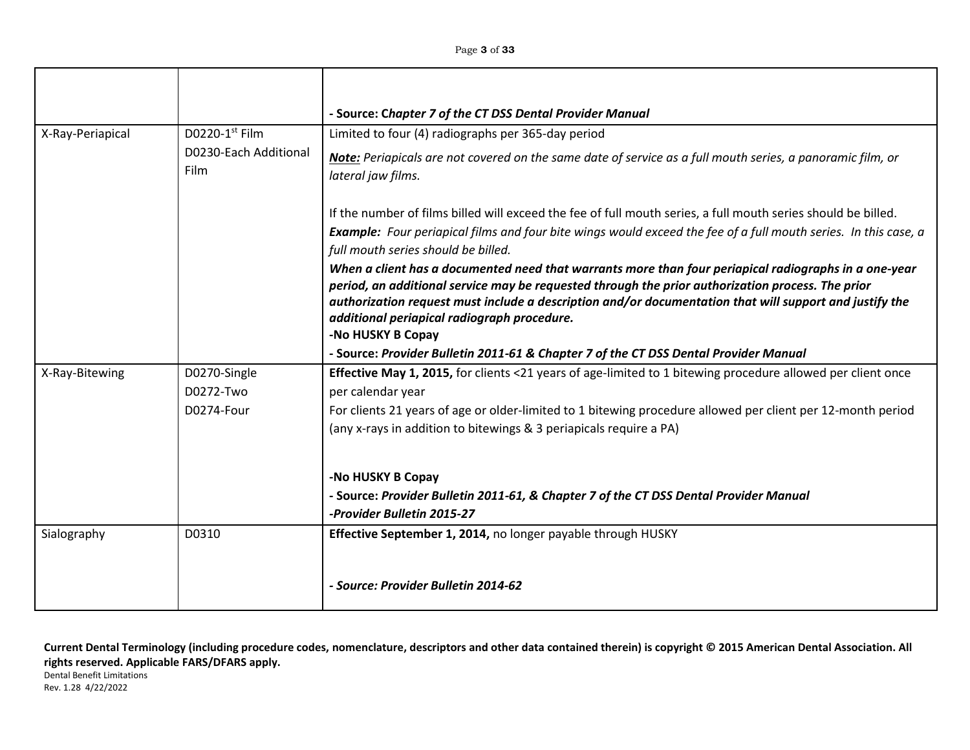|                  |                       | - Source: Chapter 7 of the CT DSS Dental Provider Manual                                                                                               |
|------------------|-----------------------|--------------------------------------------------------------------------------------------------------------------------------------------------------|
| X-Ray-Periapical | D0220-1st Film        | Limited to four (4) radiographs per 365-day period                                                                                                     |
|                  | D0230-Each Additional | Note: Periapicals are not covered on the same date of service as a full mouth series, a panoramic film, or                                             |
|                  | Film                  | lateral jaw films.                                                                                                                                     |
|                  |                       | If the number of films billed will exceed the fee of full mouth series, a full mouth series should be billed.                                          |
|                  |                       | <b>Example:</b> Four periapical films and four bite wings would exceed the fee of a full mouth series. In this case, a                                 |
|                  |                       | full mouth series should be billed.                                                                                                                    |
|                  |                       | When a client has a documented need that warrants more than four periapical radiographs in a one-year                                                  |
|                  |                       | period, an additional service may be requested through the prior authorization process. The prior                                                      |
|                  |                       | authorization request must include a description and/or documentation that will support and justify the<br>additional periapical radiograph procedure. |
|                  |                       | -No HUSKY B Copay                                                                                                                                      |
|                  |                       | - Source: Provider Bulletin 2011-61 & Chapter 7 of the CT DSS Dental Provider Manual                                                                   |
| X-Ray-Bitewing   | D0270-Single          | Effective May 1, 2015, for clients <21 years of age-limited to 1 bitewing procedure allowed per client once                                            |
|                  | D0272-Two             | per calendar year                                                                                                                                      |
|                  | D0274-Four            | For clients 21 years of age or older-limited to 1 bitewing procedure allowed per client per 12-month period                                            |
|                  |                       | (any x-rays in addition to bitewings & 3 periapicals require a PA)                                                                                     |
|                  |                       |                                                                                                                                                        |
|                  |                       | -No HUSKY B Copay                                                                                                                                      |
|                  |                       | - Source: Provider Bulletin 2011-61, & Chapter 7 of the CT DSS Dental Provider Manual                                                                  |
|                  |                       | -Provider Bulletin 2015-27                                                                                                                             |
| Sialography      | D0310                 | Effective September 1, 2014, no longer payable through HUSKY                                                                                           |
|                  |                       |                                                                                                                                                        |
|                  |                       | - Source: Provider Bulletin 2014-62                                                                                                                    |
|                  |                       |                                                                                                                                                        |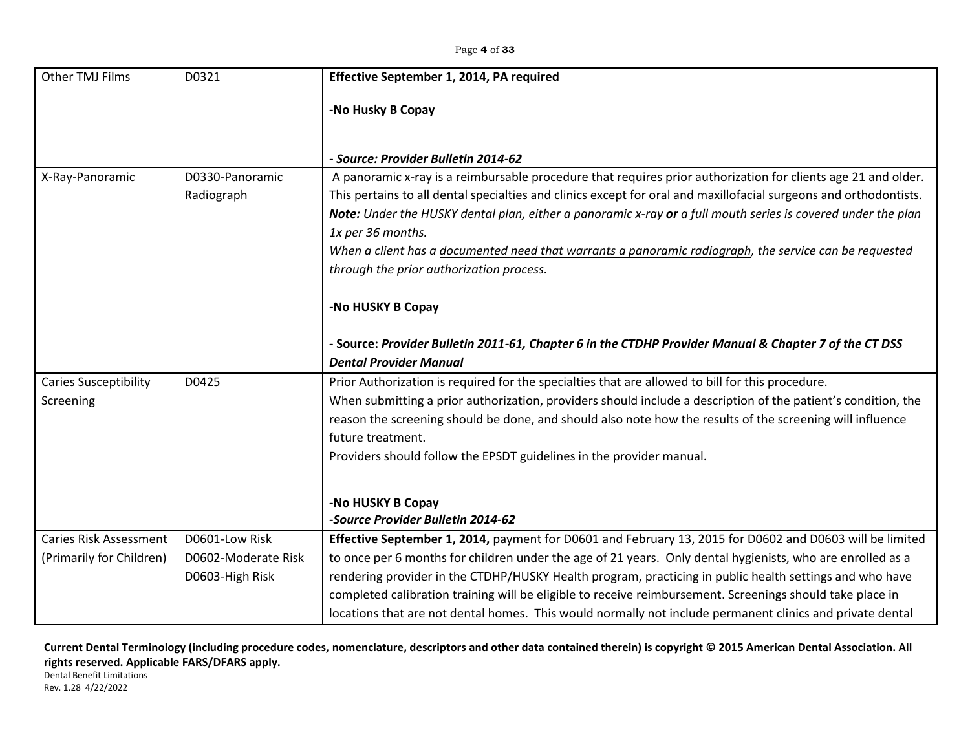| Other TMJ Films               | D0321               | Effective September 1, 2014, PA required                                                                          |
|-------------------------------|---------------------|-------------------------------------------------------------------------------------------------------------------|
|                               |                     | -No Husky B Copay                                                                                                 |
|                               |                     |                                                                                                                   |
|                               |                     | - Source: Provider Bulletin 2014-62                                                                               |
| X-Ray-Panoramic               | D0330-Panoramic     | A panoramic x-ray is a reimbursable procedure that requires prior authorization for clients age 21 and older.     |
|                               | Radiograph          | This pertains to all dental specialties and clinics except for oral and maxillofacial surgeons and orthodontists. |
|                               |                     | Note: Under the HUSKY dental plan, either a panoramic x-ray or a full mouth series is covered under the plan      |
|                               |                     | 1x per 36 months.                                                                                                 |
|                               |                     | When a client has a documented need that warrants a panoramic radiograph, the service can be requested            |
|                               |                     | through the prior authorization process.                                                                          |
|                               |                     | -No HUSKY B Copay                                                                                                 |
|                               |                     | - Source: Provider Bulletin 2011-61, Chapter 6 in the CTDHP Provider Manual & Chapter 7 of the CT DSS             |
|                               |                     | <b>Dental Provider Manual</b>                                                                                     |
| <b>Caries Susceptibility</b>  | D0425               | Prior Authorization is required for the specialties that are allowed to bill for this procedure.                  |
| Screening                     |                     | When submitting a prior authorization, providers should include a description of the patient's condition, the     |
|                               |                     | reason the screening should be done, and should also note how the results of the screening will influence         |
|                               |                     | future treatment.                                                                                                 |
|                               |                     | Providers should follow the EPSDT guidelines in the provider manual.                                              |
|                               |                     |                                                                                                                   |
|                               |                     | -No HUSKY B Copay<br>-Source Provider Bulletin 2014-62                                                            |
| <b>Caries Risk Assessment</b> | D0601-Low Risk      | Effective September 1, 2014, payment for D0601 and February 13, 2015 for D0602 and D0603 will be limited          |
| (Primarily for Children)      | D0602-Moderate Risk | to once per 6 months for children under the age of 21 years. Only dental hygienists, who are enrolled as a        |
|                               | D0603-High Risk     | rendering provider in the CTDHP/HUSKY Health program, practicing in public health settings and who have           |
|                               |                     | completed calibration training will be eligible to receive reimbursement. Screenings should take place in         |
|                               |                     | locations that are not dental homes. This would normally not include permanent clinics and private dental         |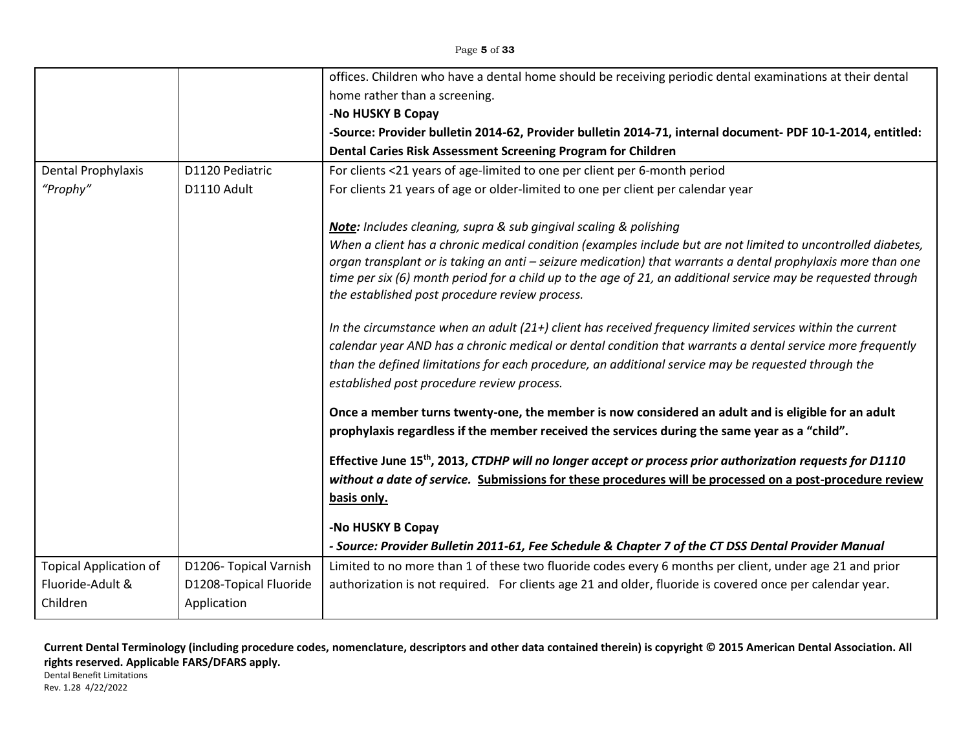### Page **5** of **33**

|                               |                        | offices. Children who have a dental home should be receiving periodic dental examinations at their dental                                                                                                                                                                                                                                                                                        |
|-------------------------------|------------------------|--------------------------------------------------------------------------------------------------------------------------------------------------------------------------------------------------------------------------------------------------------------------------------------------------------------------------------------------------------------------------------------------------|
|                               |                        | home rather than a screening.                                                                                                                                                                                                                                                                                                                                                                    |
|                               |                        | -No HUSKY B Copay                                                                                                                                                                                                                                                                                                                                                                                |
|                               |                        | -Source: Provider bulletin 2014-62, Provider bulletin 2014-71, internal document- PDF 10-1-2014, entitled:                                                                                                                                                                                                                                                                                       |
|                               |                        | Dental Caries Risk Assessment Screening Program for Children                                                                                                                                                                                                                                                                                                                                     |
| Dental Prophylaxis            | D1120 Pediatric        | For clients <21 years of age-limited to one per client per 6-month period                                                                                                                                                                                                                                                                                                                        |
| "Prophy"                      | D1110 Adult            | For clients 21 years of age or older-limited to one per client per calendar year                                                                                                                                                                                                                                                                                                                 |
|                               |                        | Note: Includes cleaning, supra & sub gingival scaling & polishing                                                                                                                                                                                                                                                                                                                                |
|                               |                        | When a client has a chronic medical condition (examples include but are not limited to uncontrolled diabetes,<br>organ transplant or is taking an anti – seizure medication) that warrants a dental prophylaxis more than one<br>time per six (6) month period for a child up to the age of 21, an additional service may be requested through<br>the established post procedure review process. |
|                               |                        | In the circumstance when an adult (21+) client has received frequency limited services within the current                                                                                                                                                                                                                                                                                        |
|                               |                        | calendar year AND has a chronic medical or dental condition that warrants a dental service more frequently<br>than the defined limitations for each procedure, an additional service may be requested through the<br>established post procedure review process.                                                                                                                                  |
|                               |                        | Once a member turns twenty-one, the member is now considered an adult and is eligible for an adult<br>prophylaxis regardless if the member received the services during the same year as a "child".                                                                                                                                                                                              |
|                               |                        | Effective June 15 <sup>th</sup> , 2013, CTDHP will no longer accept or process prior authorization requests for D1110<br>without a date of service. Submissions for these procedures will be processed on a post-procedure review<br>basis only.                                                                                                                                                 |
|                               |                        | -No HUSKY B Copay                                                                                                                                                                                                                                                                                                                                                                                |
|                               |                        | - Source: Provider Bulletin 2011-61, Fee Schedule & Chapter 7 of the CT DSS Dental Provider Manual                                                                                                                                                                                                                                                                                               |
| <b>Topical Application of</b> | D1206- Topical Varnish | Limited to no more than 1 of these two fluoride codes every 6 months per client, under age 21 and prior                                                                                                                                                                                                                                                                                          |
| Fluoride-Adult &              | D1208-Topical Fluoride | authorization is not required. For clients age 21 and older, fluoride is covered once per calendar year.                                                                                                                                                                                                                                                                                         |
| Children                      | Application            |                                                                                                                                                                                                                                                                                                                                                                                                  |

**Current Dental Terminology (including procedure codes, nomenclature, descriptors and other data contained therein) is copyright © 2015 American Dental Association. All rights reserved. Applicable FARS/DFARS apply.** Dental Benefit Limitations

Rev. 1.28 4/22/2022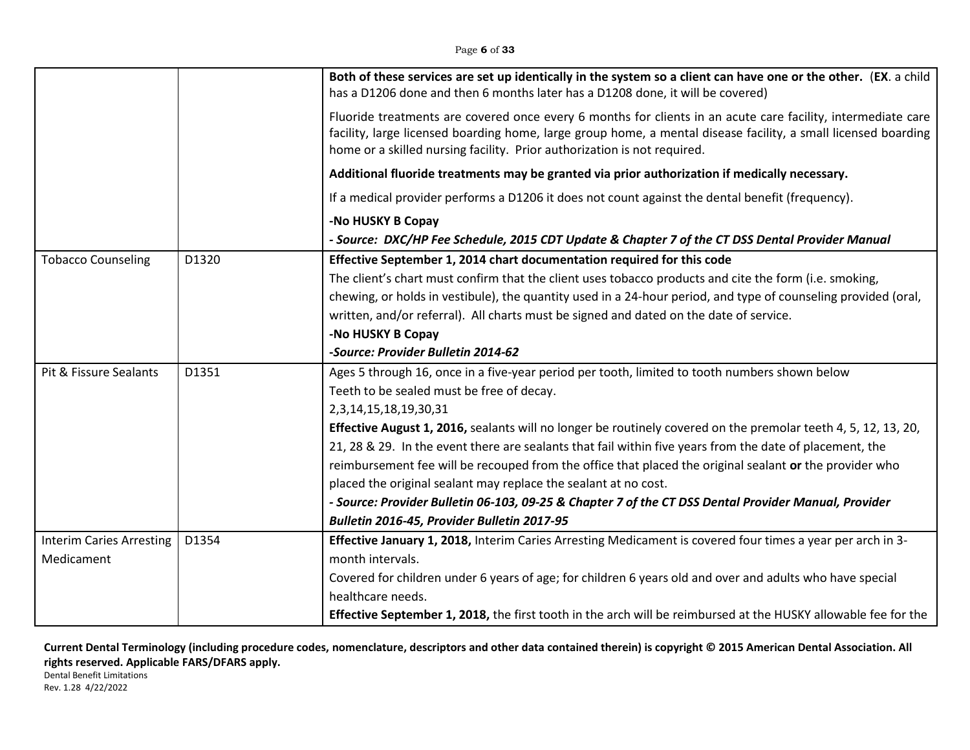# Page **6** of **33**

|                                 |       | Both of these services are set up identically in the system so a client can have one or the other. (EX. a child<br>has a D1206 done and then 6 months later has a D1208 done, it will be covered)                                                                                                          |
|---------------------------------|-------|------------------------------------------------------------------------------------------------------------------------------------------------------------------------------------------------------------------------------------------------------------------------------------------------------------|
|                                 |       | Fluoride treatments are covered once every 6 months for clients in an acute care facility, intermediate care<br>facility, large licensed boarding home, large group home, a mental disease facility, a small licensed boarding<br>home or a skilled nursing facility. Prior authorization is not required. |
|                                 |       | Additional fluoride treatments may be granted via prior authorization if medically necessary.                                                                                                                                                                                                              |
|                                 |       | If a medical provider performs a D1206 it does not count against the dental benefit (frequency).                                                                                                                                                                                                           |
|                                 |       | -No HUSKY B Copay                                                                                                                                                                                                                                                                                          |
|                                 |       | - Source: DXC/HP Fee Schedule, 2015 CDT Update & Chapter 7 of the CT DSS Dental Provider Manual                                                                                                                                                                                                            |
| <b>Tobacco Counseling</b>       | D1320 | Effective September 1, 2014 chart documentation required for this code                                                                                                                                                                                                                                     |
|                                 |       | The client's chart must confirm that the client uses tobacco products and cite the form (i.e. smoking,                                                                                                                                                                                                     |
|                                 |       | chewing, or holds in vestibule), the quantity used in a 24-hour period, and type of counseling provided (oral,                                                                                                                                                                                             |
|                                 |       | written, and/or referral). All charts must be signed and dated on the date of service.                                                                                                                                                                                                                     |
|                                 |       | -No HUSKY B Copay                                                                                                                                                                                                                                                                                          |
|                                 |       | -Source: Provider Bulletin 2014-62                                                                                                                                                                                                                                                                         |
| Pit & Fissure Sealants          | D1351 | Ages 5 through 16, once in a five-year period per tooth, limited to tooth numbers shown below                                                                                                                                                                                                              |
|                                 |       | Teeth to be sealed must be free of decay.                                                                                                                                                                                                                                                                  |
|                                 |       | 2, 3, 14, 15, 18, 19, 30, 31                                                                                                                                                                                                                                                                               |
|                                 |       | Effective August 1, 2016, sealants will no longer be routinely covered on the premolar teeth 4, 5, 12, 13, 20,                                                                                                                                                                                             |
|                                 |       | 21, 28 & 29. In the event there are sealants that fail within five years from the date of placement, the                                                                                                                                                                                                   |
|                                 |       | reimbursement fee will be recouped from the office that placed the original sealant or the provider who                                                                                                                                                                                                    |
|                                 |       | placed the original sealant may replace the sealant at no cost.                                                                                                                                                                                                                                            |
|                                 |       | - Source: Provider Bulletin 06-103, 09-25 & Chapter 7 of the CT DSS Dental Provider Manual, Provider                                                                                                                                                                                                       |
|                                 |       | Bulletin 2016-45, Provider Bulletin 2017-95                                                                                                                                                                                                                                                                |
| <b>Interim Caries Arresting</b> | D1354 | Effective January 1, 2018, Interim Caries Arresting Medicament is covered four times a year per arch in 3-                                                                                                                                                                                                 |
| Medicament                      |       | month intervals.                                                                                                                                                                                                                                                                                           |
|                                 |       | Covered for children under 6 years of age; for children 6 years old and over and adults who have special                                                                                                                                                                                                   |
|                                 |       | healthcare needs.                                                                                                                                                                                                                                                                                          |
|                                 |       | Effective September 1, 2018, the first tooth in the arch will be reimbursed at the HUSKY allowable fee for the                                                                                                                                                                                             |

**Current Dental Terminology (including procedure codes, nomenclature, descriptors and other data contained therein) is copyright © 2015 American Dental Association. All rights reserved. Applicable FARS/DFARS apply.**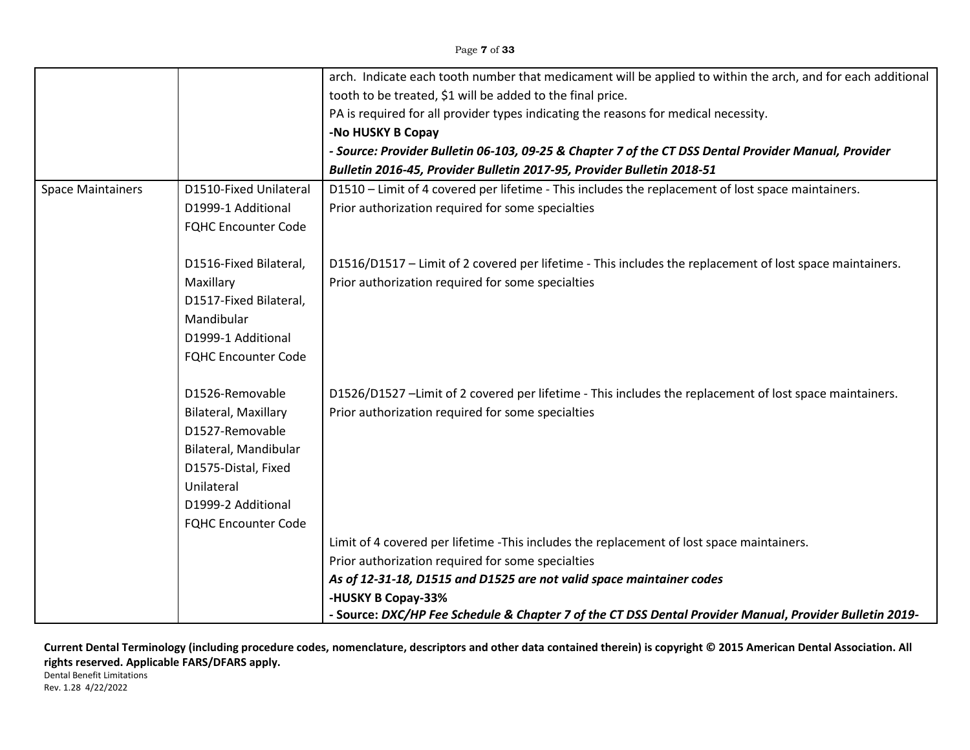|                          |                             | arch. Indicate each tooth number that medicament will be applied to within the arch, and for each additional |
|--------------------------|-----------------------------|--------------------------------------------------------------------------------------------------------------|
|                          |                             | tooth to be treated, \$1 will be added to the final price.                                                   |
|                          |                             | PA is required for all provider types indicating the reasons for medical necessity.                          |
|                          |                             | -No HUSKY B Copay                                                                                            |
|                          |                             | - Source: Provider Bulletin 06-103, 09-25 & Chapter 7 of the CT DSS Dental Provider Manual, Provider         |
|                          |                             | Bulletin 2016-45, Provider Bulletin 2017-95, Provider Bulletin 2018-51                                       |
| <b>Space Maintainers</b> | D1510-Fixed Unilateral      | D1510 – Limit of 4 covered per lifetime - This includes the replacement of lost space maintainers.           |
|                          | D1999-1 Additional          | Prior authorization required for some specialties                                                            |
|                          | <b>FQHC Encounter Code</b>  |                                                                                                              |
|                          |                             |                                                                                                              |
|                          | D1516-Fixed Bilateral,      | D1516/D1517 - Limit of 2 covered per lifetime - This includes the replacement of lost space maintainers.     |
|                          | Maxillary                   | Prior authorization required for some specialties                                                            |
|                          | D1517-Fixed Bilateral,      |                                                                                                              |
|                          | Mandibular                  |                                                                                                              |
|                          | D1999-1 Additional          |                                                                                                              |
|                          | <b>FQHC Encounter Code</b>  |                                                                                                              |
|                          |                             |                                                                                                              |
|                          | D1526-Removable             | D1526/D1527 -Limit of 2 covered per lifetime - This includes the replacement of lost space maintainers.      |
|                          | <b>Bilateral, Maxillary</b> | Prior authorization required for some specialties                                                            |
|                          | D1527-Removable             |                                                                                                              |
|                          | Bilateral, Mandibular       |                                                                                                              |
|                          | D1575-Distal, Fixed         |                                                                                                              |
|                          | Unilateral                  |                                                                                                              |
|                          | D1999-2 Additional          |                                                                                                              |
|                          | <b>FQHC Encounter Code</b>  |                                                                                                              |
|                          |                             | Limit of 4 covered per lifetime -This includes the replacement of lost space maintainers.                    |
|                          |                             | Prior authorization required for some specialties                                                            |
|                          |                             | As of 12-31-18, D1515 and D1525 are not valid space maintainer codes                                         |
|                          |                             | -HUSKY B Copay-33%                                                                                           |
|                          |                             | - Source: DXC/HP Fee Schedule & Chapter 7 of the CT DSS Dental Provider Manual, Provider Bulletin 2019-      |

Rev. 1.28 4/22/2022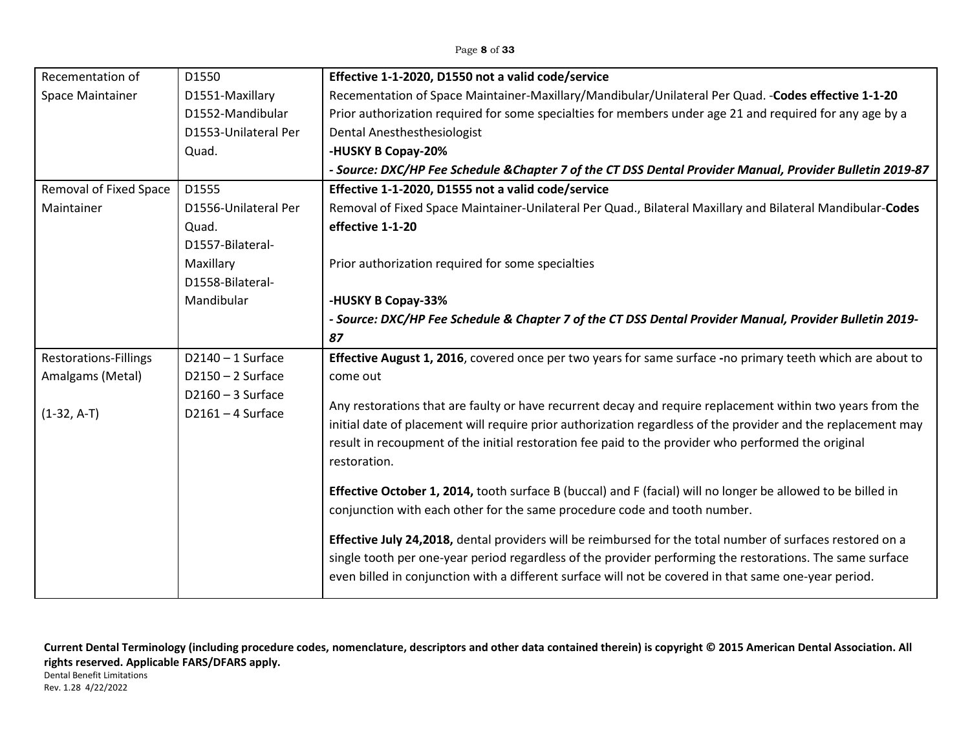| Recementation of        | D1550                | Effective 1-1-2020, D1550 not a valid code/service                                                            |
|-------------------------|----------------------|---------------------------------------------------------------------------------------------------------------|
| <b>Space Maintainer</b> | D1551-Maxillary      | Recementation of Space Maintainer-Maxillary/Mandibular/Unilateral Per Quad. - Codes effective 1-1-20          |
|                         | D1552-Mandibular     | Prior authorization required for some specialties for members under age 21 and required for any age by a      |
|                         | D1553-Unilateral Per | <b>Dental Anesthesthesiologist</b>                                                                            |
|                         | Quad.                | -HUSKY B Copay-20%                                                                                            |
|                         |                      | - Source: DXC/HP Fee Schedule & Chapter 7 of the CT DSS Dental Provider Manual, Provider Bulletin 2019-87     |
| Removal of Fixed Space  | D1555                | Effective 1-1-2020, D1555 not a valid code/service                                                            |
| Maintainer              | D1556-Unilateral Per | Removal of Fixed Space Maintainer-Unilateral Per Quad., Bilateral Maxillary and Bilateral Mandibular-Codes    |
|                         | Quad.                | effective 1-1-20                                                                                              |
|                         | D1557-Bilateral-     |                                                                                                               |
|                         | Maxillary            | Prior authorization required for some specialties                                                             |
|                         | D1558-Bilateral-     |                                                                                                               |
|                         | Mandibular           | -HUSKY B Copay-33%                                                                                            |
|                         |                      | - Source: DXC/HP Fee Schedule & Chapter 7 of the CT DSS Dental Provider Manual, Provider Bulletin 2019-       |
|                         |                      | 87                                                                                                            |
| Restorations-Fillings   | $D2140 - 1$ Surface  | Effective August 1, 2016, covered once per two years for same surface -no primary teeth which are about to    |
| Amalgams (Metal)        | $D2150 - 2$ Surface  | come out                                                                                                      |
|                         | $D2160 - 3$ Surface  |                                                                                                               |
| $(1-32, A-T)$           | $D2161 - 4$ Surface  | Any restorations that are faulty or have recurrent decay and require replacement within two years from the    |
|                         |                      | initial date of placement will require prior authorization regardless of the provider and the replacement may |
|                         |                      | result in recoupment of the initial restoration fee paid to the provider who performed the original           |
|                         |                      |                                                                                                               |
|                         |                      | restoration.                                                                                                  |
|                         |                      |                                                                                                               |
|                         |                      | Effective October 1, 2014, tooth surface B (buccal) and F (facial) will no longer be allowed to be billed in  |
|                         |                      | conjunction with each other for the same procedure code and tooth number.                                     |
|                         |                      | Effective July 24,2018, dental providers will be reimbursed for the total number of surfaces restored on a    |
|                         |                      | single tooth per one-year period regardless of the provider performing the restorations. The same surface     |
|                         |                      | even billed in conjunction with a different surface will not be covered in that same one-year period.         |

Rev. 1.28 4/22/2022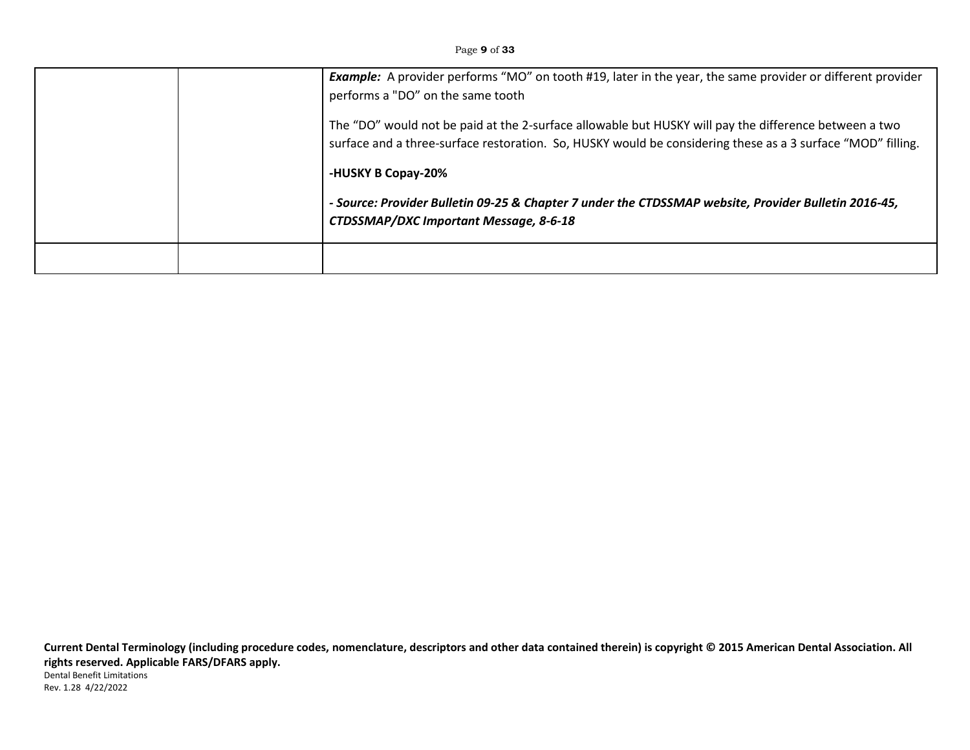Page **9** of **33**

|  | <b>Example:</b> A provider performs "MO" on tooth #19, later in the year, the same provider or different provider<br>performs a "DO" on the same tooth                                                               |
|--|----------------------------------------------------------------------------------------------------------------------------------------------------------------------------------------------------------------------|
|  | The "DO" would not be paid at the 2-surface allowable but HUSKY will pay the difference between a two<br>surface and a three-surface restoration. So, HUSKY would be considering these as a 3 surface "MOD" filling. |
|  | -HUSKY B Copay-20%                                                                                                                                                                                                   |
|  | - Source: Provider Bulletin 09-25 & Chapter 7 under the CTDSSMAP website, Provider Bulletin 2016-45,<br><b>CTDSSMAP/DXC Important Message, 8-6-18</b>                                                                |
|  |                                                                                                                                                                                                                      |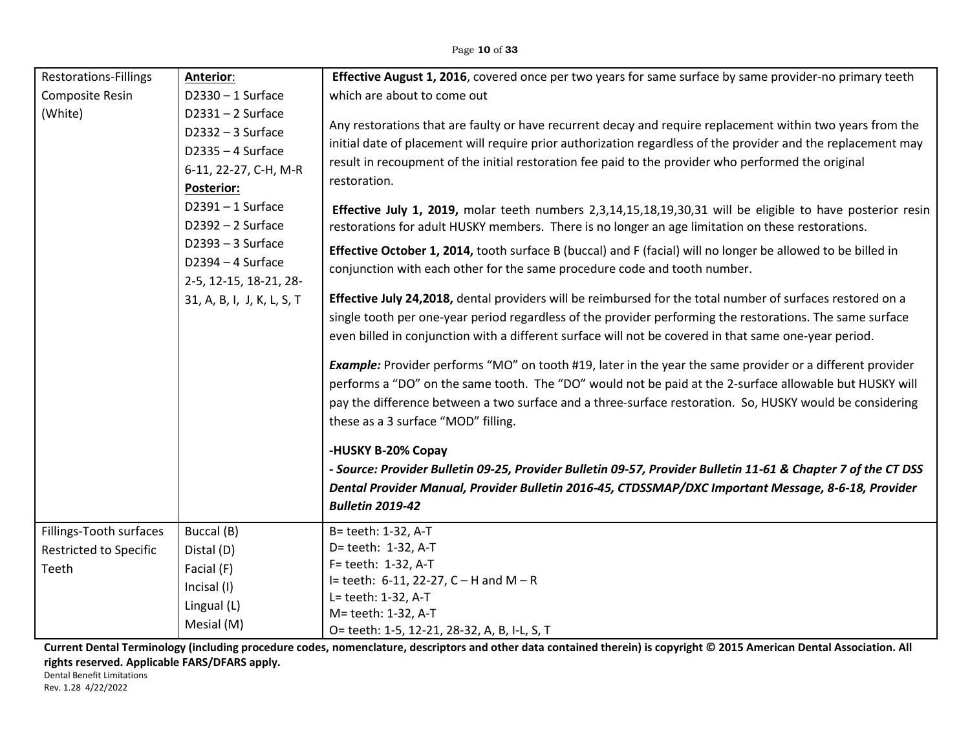| Effective August 1, 2016, covered once per two years for same surface by same provider-no primary teeth<br><b>Restorations-Fillings</b><br><b>Anterior:</b><br>Composite Resin<br>$D2330 - 1$ Surface<br>which are about to come out<br>(White)<br>$D2331 - 2$ Surface<br>Any restorations that are faulty or have recurrent decay and require replacement within two years from the<br>$D2332 - 3$ Surface<br>initial date of placement will require prior authorization regardless of the provider and the replacement may<br>$D2335 - 4$ Surface<br>result in recoupment of the initial restoration fee paid to the provider who performed the original<br>6-11, 22-27, C-H, M-R<br>restoration.<br><b>Posterior:</b><br>$D2391 - 1$ Surface<br>Effective July 1, 2019, molar teeth numbers 2,3,14,15,18,19,30,31 will be eligible to have posterior resin |  |
|---------------------------------------------------------------------------------------------------------------------------------------------------------------------------------------------------------------------------------------------------------------------------------------------------------------------------------------------------------------------------------------------------------------------------------------------------------------------------------------------------------------------------------------------------------------------------------------------------------------------------------------------------------------------------------------------------------------------------------------------------------------------------------------------------------------------------------------------------------------|--|
|                                                                                                                                                                                                                                                                                                                                                                                                                                                                                                                                                                                                                                                                                                                                                                                                                                                               |  |
|                                                                                                                                                                                                                                                                                                                                                                                                                                                                                                                                                                                                                                                                                                                                                                                                                                                               |  |
|                                                                                                                                                                                                                                                                                                                                                                                                                                                                                                                                                                                                                                                                                                                                                                                                                                                               |  |
|                                                                                                                                                                                                                                                                                                                                                                                                                                                                                                                                                                                                                                                                                                                                                                                                                                                               |  |
|                                                                                                                                                                                                                                                                                                                                                                                                                                                                                                                                                                                                                                                                                                                                                                                                                                                               |  |
|                                                                                                                                                                                                                                                                                                                                                                                                                                                                                                                                                                                                                                                                                                                                                                                                                                                               |  |
|                                                                                                                                                                                                                                                                                                                                                                                                                                                                                                                                                                                                                                                                                                                                                                                                                                                               |  |
|                                                                                                                                                                                                                                                                                                                                                                                                                                                                                                                                                                                                                                                                                                                                                                                                                                                               |  |
| $D2392 - 2$ Surface<br>restorations for adult HUSKY members. There is no longer an age limitation on these restorations.                                                                                                                                                                                                                                                                                                                                                                                                                                                                                                                                                                                                                                                                                                                                      |  |
| $D2393 - 3$ Surface<br>Effective October 1, 2014, tooth surface B (buccal) and F (facial) will no longer be allowed to be billed in                                                                                                                                                                                                                                                                                                                                                                                                                                                                                                                                                                                                                                                                                                                           |  |
| $D2394 - 4$ Surface                                                                                                                                                                                                                                                                                                                                                                                                                                                                                                                                                                                                                                                                                                                                                                                                                                           |  |
| conjunction with each other for the same procedure code and tooth number.<br>2-5, 12-15, 18-21, 28-                                                                                                                                                                                                                                                                                                                                                                                                                                                                                                                                                                                                                                                                                                                                                           |  |
| Effective July 24,2018, dental providers will be reimbursed for the total number of surfaces restored on a<br>31, A, B, I, J, K, L, S, T                                                                                                                                                                                                                                                                                                                                                                                                                                                                                                                                                                                                                                                                                                                      |  |
| single tooth per one-year period regardless of the provider performing the restorations. The same surface                                                                                                                                                                                                                                                                                                                                                                                                                                                                                                                                                                                                                                                                                                                                                     |  |
| even billed in conjunction with a different surface will not be covered in that same one-year period.                                                                                                                                                                                                                                                                                                                                                                                                                                                                                                                                                                                                                                                                                                                                                         |  |
|                                                                                                                                                                                                                                                                                                                                                                                                                                                                                                                                                                                                                                                                                                                                                                                                                                                               |  |
| <b>Example:</b> Provider performs "MO" on tooth #19, later in the year the same provider or a different provider                                                                                                                                                                                                                                                                                                                                                                                                                                                                                                                                                                                                                                                                                                                                              |  |
| performs a "DO" on the same tooth. The "DO" would not be paid at the 2-surface allowable but HUSKY will                                                                                                                                                                                                                                                                                                                                                                                                                                                                                                                                                                                                                                                                                                                                                       |  |
| pay the difference between a two surface and a three-surface restoration. So, HUSKY would be considering                                                                                                                                                                                                                                                                                                                                                                                                                                                                                                                                                                                                                                                                                                                                                      |  |
| these as a 3 surface "MOD" filling.                                                                                                                                                                                                                                                                                                                                                                                                                                                                                                                                                                                                                                                                                                                                                                                                                           |  |
|                                                                                                                                                                                                                                                                                                                                                                                                                                                                                                                                                                                                                                                                                                                                                                                                                                                               |  |
| -HUSKY B-20% Copay                                                                                                                                                                                                                                                                                                                                                                                                                                                                                                                                                                                                                                                                                                                                                                                                                                            |  |
| - Source: Provider Bulletin 09-25, Provider Bulletin 09-57, Provider Bulletin 11-61 & Chapter 7 of the CT DSS                                                                                                                                                                                                                                                                                                                                                                                                                                                                                                                                                                                                                                                                                                                                                 |  |
| Dental Provider Manual, Provider Bulletin 2016-45, CTDSSMAP/DXC Important Message, 8-6-18, Provider                                                                                                                                                                                                                                                                                                                                                                                                                                                                                                                                                                                                                                                                                                                                                           |  |
| <b>Bulletin 2019-42</b>                                                                                                                                                                                                                                                                                                                                                                                                                                                                                                                                                                                                                                                                                                                                                                                                                                       |  |
| Fillings-Tooth surfaces                                                                                                                                                                                                                                                                                                                                                                                                                                                                                                                                                                                                                                                                                                                                                                                                                                       |  |
| Buccal (B)<br>B= teeth: 1-32, A-T<br>D= teeth: 1-32, A-T                                                                                                                                                                                                                                                                                                                                                                                                                                                                                                                                                                                                                                                                                                                                                                                                      |  |
| <b>Restricted to Specific</b><br>Distal (D)<br>F= teeth: 1-32, A-T                                                                                                                                                                                                                                                                                                                                                                                                                                                                                                                                                                                                                                                                                                                                                                                            |  |
| Facial (F)<br>Teeth<br>I= teeth: $6-11$ , 22-27, C - H and M - R                                                                                                                                                                                                                                                                                                                                                                                                                                                                                                                                                                                                                                                                                                                                                                                              |  |
| Incisal (I)<br>L= teeth: 1-32, A-T                                                                                                                                                                                                                                                                                                                                                                                                                                                                                                                                                                                                                                                                                                                                                                                                                            |  |
| Lingual (L)<br>M= teeth: 1-32, A-T                                                                                                                                                                                                                                                                                                                                                                                                                                                                                                                                                                                                                                                                                                                                                                                                                            |  |
| Mesial (M)<br>O= teeth: 1-5, 12-21, 28-32, A, B, I-L, S, T                                                                                                                                                                                                                                                                                                                                                                                                                                                                                                                                                                                                                                                                                                                                                                                                    |  |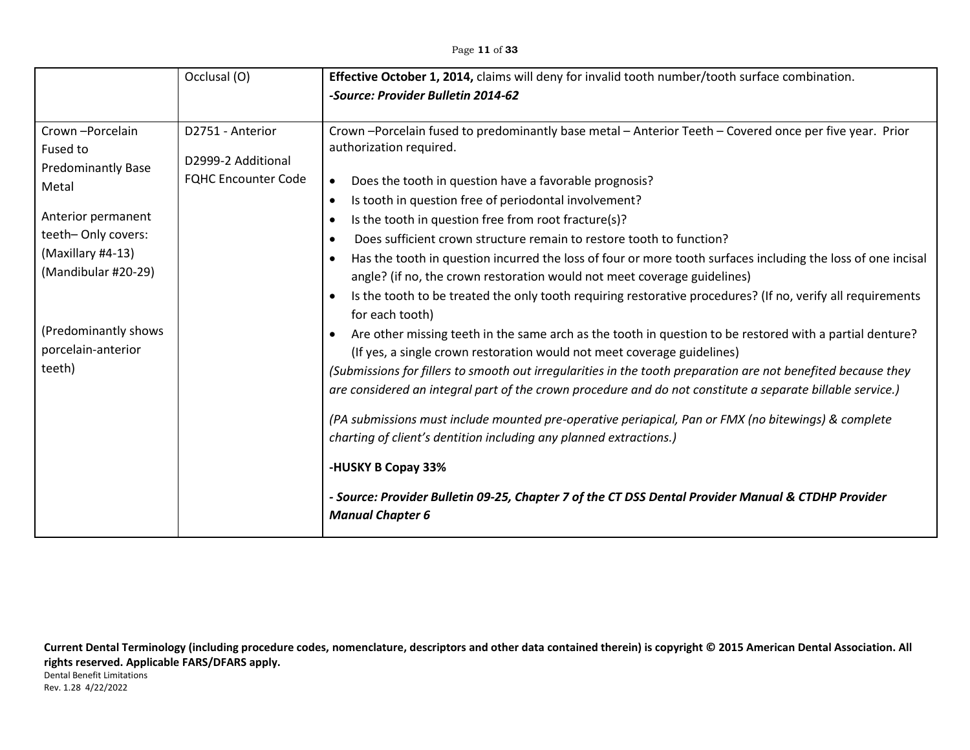# Page **11** of **33**

|                                                                                                                                                           | Occlusal (O)                                                         | Effective October 1, 2014, claims will deny for invalid tooth number/tooth surface combination.<br>-Source: Provider Bulletin 2014-62                                                                                                                                                                                                                                                                                                                                                                                                                                                                                                                                                                                                                                     |
|-----------------------------------------------------------------------------------------------------------------------------------------------------------|----------------------------------------------------------------------|---------------------------------------------------------------------------------------------------------------------------------------------------------------------------------------------------------------------------------------------------------------------------------------------------------------------------------------------------------------------------------------------------------------------------------------------------------------------------------------------------------------------------------------------------------------------------------------------------------------------------------------------------------------------------------------------------------------------------------------------------------------------------|
| Crown-Porcelain<br>Fused to<br><b>Predominantly Base</b><br>Metal<br>Anterior permanent<br>teeth-Only covers:<br>(Maxillary #4-13)<br>(Mandibular #20-29) | D2751 - Anterior<br>D2999-2 Additional<br><b>FQHC Encounter Code</b> | Crown -Porcelain fused to predominantly base metal - Anterior Teeth - Covered once per five year. Prior<br>authorization required.<br>Does the tooth in question have a favorable prognosis?<br>$\bullet$<br>Is tooth in question free of periodontal involvement?<br>$\bullet$<br>Is the tooth in question free from root fracture(s)?<br>Does sufficient crown structure remain to restore tooth to function?<br>Has the tooth in question incurred the loss of four or more tooth surfaces including the loss of one incisal<br>$\bullet$<br>angle? (if no, the crown restoration would not meet coverage guidelines)<br>Is the tooth to be treated the only tooth requiring restorative procedures? (If no, verify all requirements<br>$\bullet$                      |
| (Predominantly shows<br>porcelain-anterior<br>teeth)                                                                                                      |                                                                      | for each tooth)<br>Are other missing teeth in the same arch as the tooth in question to be restored with a partial denture?<br>(If yes, a single crown restoration would not meet coverage guidelines)<br>(Submissions for fillers to smooth out irregularities in the tooth preparation are not benefited because they<br>are considered an integral part of the crown procedure and do not constitute a separate billable service.)<br>(PA submissions must include mounted pre-operative periapical, Pan or FMX (no bitewings) & complete<br>charting of client's dentition including any planned extractions.)<br>-HUSKY B Copay 33%<br>- Source: Provider Bulletin 09-25, Chapter 7 of the CT DSS Dental Provider Manual & CTDHP Provider<br><b>Manual Chapter 6</b> |

**Current Dental Terminology (including procedure codes, nomenclature, descriptors and other data contained therein) is copyright © 2015 American Dental Association. All rights reserved. Applicable FARS/DFARS apply.** Dental Benefit Limitations Rev. 1.28 4/22/2022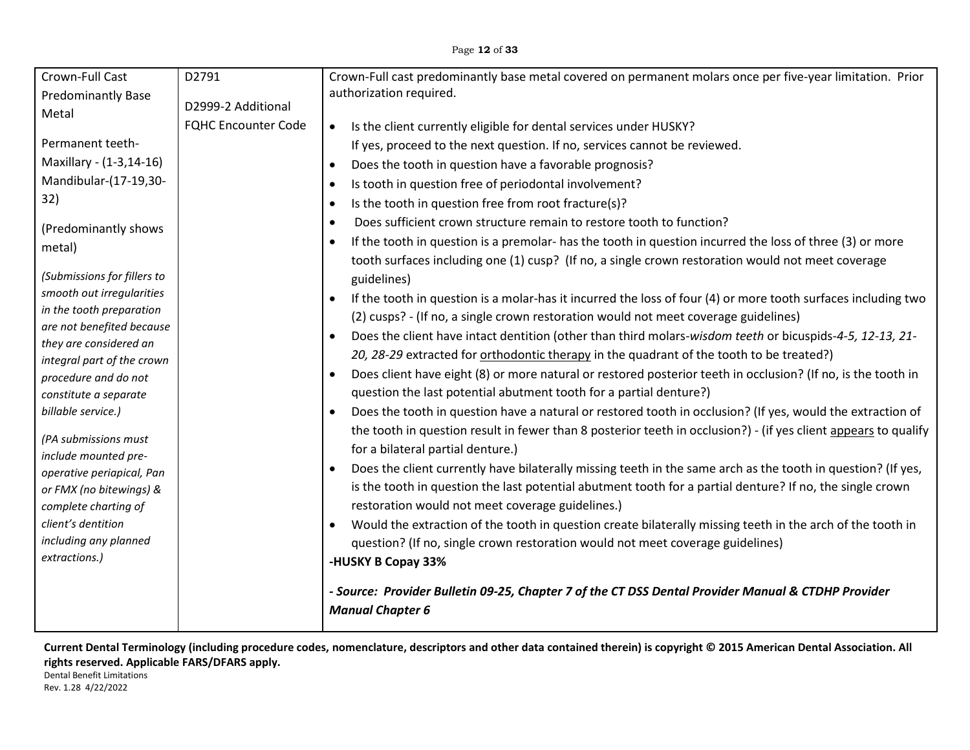### Page **12** of **33**

| Crown-Full Cast                                      | D2791                      | Crown-Full cast predominantly base metal covered on permanent molars once per five-year limitation. Prior                  |
|------------------------------------------------------|----------------------------|----------------------------------------------------------------------------------------------------------------------------|
| <b>Predominantly Base</b>                            |                            | authorization required.                                                                                                    |
| Metal                                                | D2999-2 Additional         |                                                                                                                            |
|                                                      | <b>FQHC Encounter Code</b> | Is the client currently eligible for dental services under HUSKY?<br>$\bullet$                                             |
| Permanent teeth-                                     |                            | If yes, proceed to the next question. If no, services cannot be reviewed.                                                  |
| Maxillary - (1-3,14-16)                              |                            | Does the tooth in question have a favorable prognosis?<br>$\bullet$                                                        |
| Mandibular-(17-19,30-                                |                            | Is tooth in question free of periodontal involvement?<br>$\bullet$                                                         |
| 32)                                                  |                            | Is the tooth in question free from root fracture(s)?<br>$\bullet$                                                          |
| (Predominantly shows                                 |                            | Does sufficient crown structure remain to restore tooth to function?<br>$\bullet$                                          |
| metal)                                               |                            | If the tooth in question is a premolar- has the tooth in question incurred the loss of three (3) or more<br>$\bullet$      |
|                                                      |                            | tooth surfaces including one (1) cusp? (If no, a single crown restoration would not meet coverage                          |
| (Submissions for fillers to                          |                            | guidelines)                                                                                                                |
| smooth out irregularities                            |                            | If the tooth in question is a molar-has it incurred the loss of four (4) or more tooth surfaces including two<br>$\bullet$ |
| in the tooth preparation                             |                            | (2) cusps? - (If no, a single crown restoration would not meet coverage guidelines)                                        |
| are not benefited because                            |                            | Does the client have intact dentition (other than third molars-wisdom teeth or bicuspids-4-5, 12-13, 21-<br>$\bullet$      |
| they are considered an<br>integral part of the crown |                            | 20, 28-29 extracted for orthodontic therapy in the quadrant of the tooth to be treated?)                                   |
| procedure and do not                                 |                            | Does client have eight (8) or more natural or restored posterior teeth in occlusion? (If no, is the tooth in<br>$\bullet$  |
| constitute a separate                                |                            | question the last potential abutment tooth for a partial denture?)                                                         |
| billable service.)                                   |                            | Does the tooth in question have a natural or restored tooth in occlusion? (If yes, would the extraction of<br>$\bullet$    |
|                                                      |                            | the tooth in question result in fewer than 8 posterior teeth in occlusion?) - (if yes client appears to qualify            |
| (PA submissions must                                 |                            | for a bilateral partial denture.)                                                                                          |
| include mounted pre-<br>operative periapical, Pan    |                            | Does the client currently have bilaterally missing teeth in the same arch as the tooth in question? (If yes,<br>$\bullet$  |
| or FMX (no bitewings) &                              |                            | is the tooth in question the last potential abutment tooth for a partial denture? If no, the single crown                  |
| complete charting of                                 |                            | restoration would not meet coverage guidelines.)                                                                           |
| client's dentition                                   |                            | Would the extraction of the tooth in question create bilaterally missing teeth in the arch of the tooth in<br>$\bullet$    |
| including any planned                                |                            | question? (If no, single crown restoration would not meet coverage guidelines)                                             |
| extractions.)                                        |                            | -HUSKY B Copay 33%                                                                                                         |
|                                                      |                            |                                                                                                                            |
|                                                      |                            | - Source: Provider Bulletin 09-25, Chapter 7 of the CT DSS Dental Provider Manual & CTDHP Provider                         |
|                                                      |                            | <b>Manual Chapter 6</b>                                                                                                    |

**Current Dental Terminology (including procedure codes, nomenclature, descriptors and other data contained therein) is copyright © 2015 American Dental Association. All rights reserved. Applicable FARS/DFARS apply.**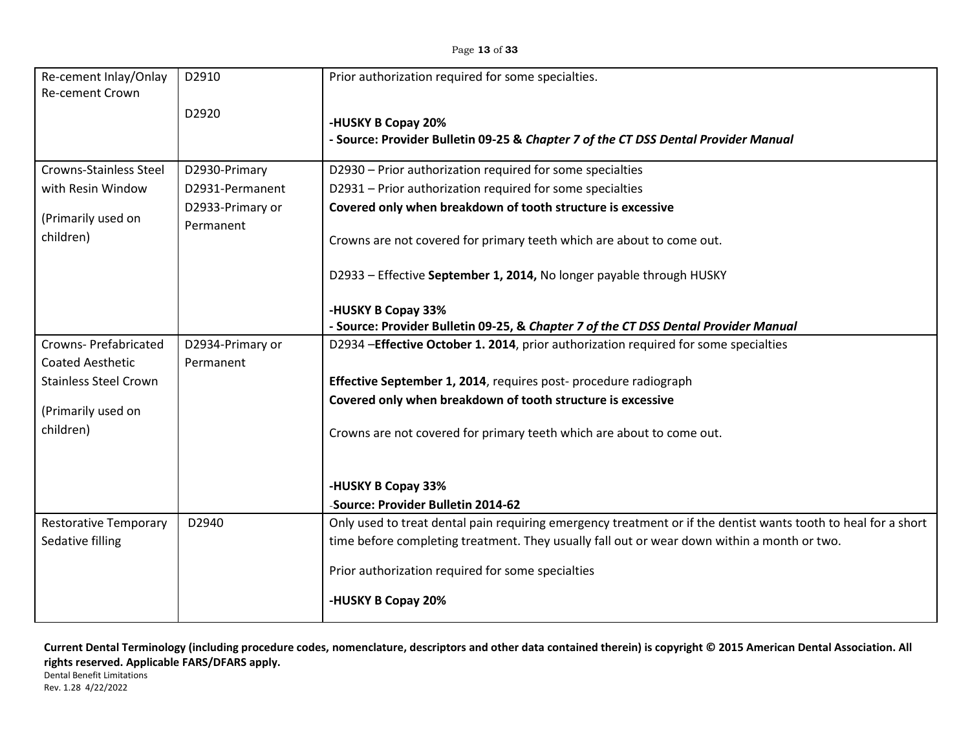| Re-cement Inlay/Onlay<br><b>Re-cement Crown</b>                                       | D2910                                                             | Prior authorization required for some specialties.                                                                                                                                                                                                                                                                                     |
|---------------------------------------------------------------------------------------|-------------------------------------------------------------------|----------------------------------------------------------------------------------------------------------------------------------------------------------------------------------------------------------------------------------------------------------------------------------------------------------------------------------------|
|                                                                                       | D2920                                                             | -HUSKY B Copay 20%<br>- Source: Provider Bulletin 09-25 & Chapter 7 of the CT DSS Dental Provider Manual                                                                                                                                                                                                                               |
| <b>Crowns-Stainless Steel</b><br>with Resin Window<br>(Primarily used on<br>children) | D2930-Primary<br>D2931-Permanent<br>D2933-Primary or<br>Permanent | D2930 - Prior authorization required for some specialties<br>D2931 - Prior authorization required for some specialties<br>Covered only when breakdown of tooth structure is excessive<br>Crowns are not covered for primary teeth which are about to come out.<br>D2933 - Effective September 1, 2014, No longer payable through HUSKY |
|                                                                                       |                                                                   | -HUSKY B Copay 33%<br>- Source: Provider Bulletin 09-25, & Chapter 7 of the CT DSS Dental Provider Manual                                                                                                                                                                                                                              |
| <b>Crowns-Prefabricated</b><br><b>Coated Aesthetic</b>                                | D2934-Primary or<br>Permanent                                     | D2934 - Effective October 1. 2014, prior authorization required for some specialties                                                                                                                                                                                                                                                   |
| <b>Stainless Steel Crown</b>                                                          |                                                                   | Effective September 1, 2014, requires post-procedure radiograph                                                                                                                                                                                                                                                                        |
| (Primarily used on                                                                    |                                                                   | Covered only when breakdown of tooth structure is excessive                                                                                                                                                                                                                                                                            |
| children)                                                                             |                                                                   | Crowns are not covered for primary teeth which are about to come out.                                                                                                                                                                                                                                                                  |
|                                                                                       |                                                                   | -HUSKY B Copay 33%                                                                                                                                                                                                                                                                                                                     |
|                                                                                       |                                                                   | -Source: Provider Bulletin 2014-62                                                                                                                                                                                                                                                                                                     |
| <b>Restorative Temporary</b><br>Sedative filling                                      | D2940                                                             | Only used to treat dental pain requiring emergency treatment or if the dentist wants tooth to heal for a short<br>time before completing treatment. They usually fall out or wear down within a month or two.<br>Prior authorization required for some specialties<br>-HUSKY B Copay 20%                                               |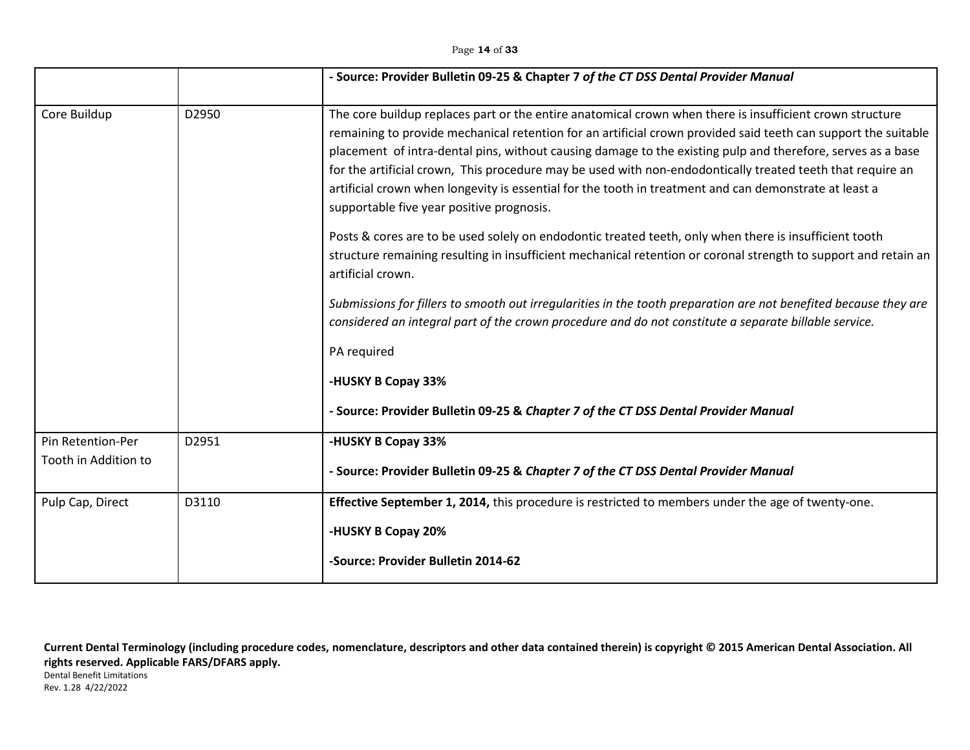|                      |       | - Source: Provider Bulletin 09-25 & Chapter 7 of the CT DSS Dental Provider Manual                                                                                                                                                                                                                                                                                                                                                                                                                                                                                                                             |
|----------------------|-------|----------------------------------------------------------------------------------------------------------------------------------------------------------------------------------------------------------------------------------------------------------------------------------------------------------------------------------------------------------------------------------------------------------------------------------------------------------------------------------------------------------------------------------------------------------------------------------------------------------------|
| Core Buildup         | D2950 | The core buildup replaces part or the entire anatomical crown when there is insufficient crown structure<br>remaining to provide mechanical retention for an artificial crown provided said teeth can support the suitable<br>placement of intra-dental pins, without causing damage to the existing pulp and therefore, serves as a base<br>for the artificial crown, This procedure may be used with non-endodontically treated teeth that require an<br>artificial crown when longevity is essential for the tooth in treatment and can demonstrate at least a<br>supportable five year positive prognosis. |
|                      |       | Posts & cores are to be used solely on endodontic treated teeth, only when there is insufficient tooth<br>structure remaining resulting in insufficient mechanical retention or coronal strength to support and retain an<br>artificial crown.                                                                                                                                                                                                                                                                                                                                                                 |
|                      |       | Submissions for fillers to smooth out irregularities in the tooth preparation are not benefited because they are<br>considered an integral part of the crown procedure and do not constitute a separate billable service.                                                                                                                                                                                                                                                                                                                                                                                      |
|                      |       | PA required                                                                                                                                                                                                                                                                                                                                                                                                                                                                                                                                                                                                    |
|                      |       | -HUSKY B Copay 33%                                                                                                                                                                                                                                                                                                                                                                                                                                                                                                                                                                                             |
|                      |       | - Source: Provider Bulletin 09-25 & Chapter 7 of the CT DSS Dental Provider Manual                                                                                                                                                                                                                                                                                                                                                                                                                                                                                                                             |
| Pin Retention-Per    | D2951 | -HUSKY B Copay 33%                                                                                                                                                                                                                                                                                                                                                                                                                                                                                                                                                                                             |
| Tooth in Addition to |       | - Source: Provider Bulletin 09-25 & Chapter 7 of the CT DSS Dental Provider Manual                                                                                                                                                                                                                                                                                                                                                                                                                                                                                                                             |
| Pulp Cap, Direct     | D3110 | Effective September 1, 2014, this procedure is restricted to members under the age of twenty-one.                                                                                                                                                                                                                                                                                                                                                                                                                                                                                                              |
|                      |       | -HUSKY B Copay 20%                                                                                                                                                                                                                                                                                                                                                                                                                                                                                                                                                                                             |
|                      |       | -Source: Provider Bulletin 2014-62                                                                                                                                                                                                                                                                                                                                                                                                                                                                                                                                                                             |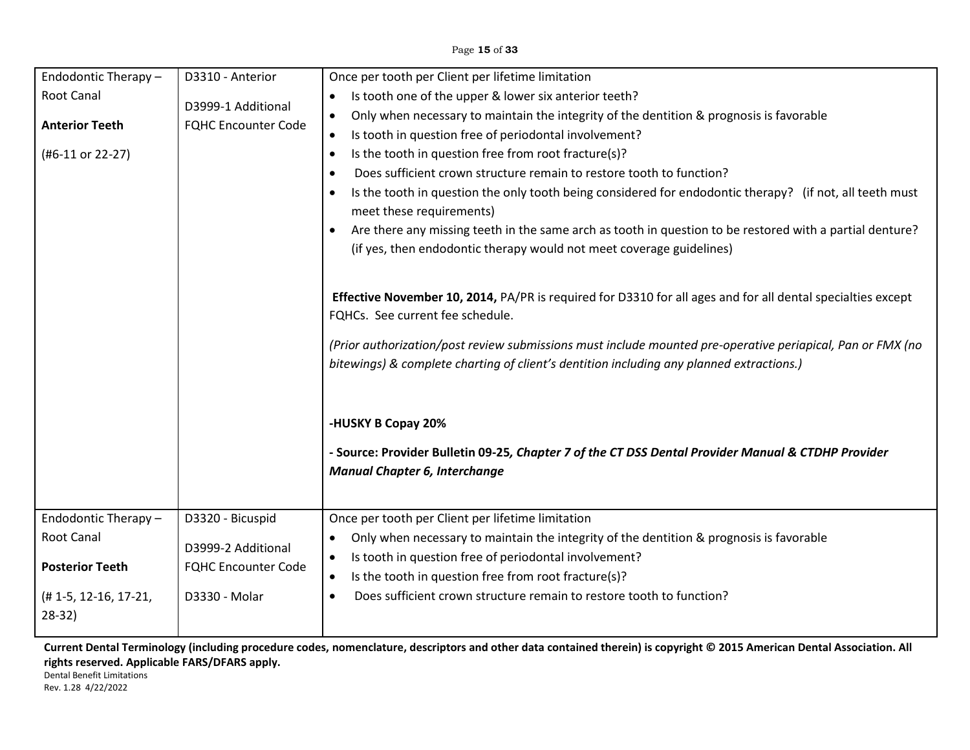### Page **15** of **33**

| Endodontic Therapy -<br>Root Canal<br><b>Anterior Teeth</b><br>(#6-11 or 22-27)                            | D3310 - Anterior<br>D3999-1 Additional<br><b>FQHC Encounter Code</b>                  | Once per tooth per Client per lifetime limitation<br>Is tooth one of the upper & lower six anterior teeth?<br>Only when necessary to maintain the integrity of the dentition & prognosis is favorable<br>$\bullet$<br>Is tooth in question free of periodontal involvement?<br>$\bullet$<br>Is the tooth in question free from root fracture(s)?<br>$\bullet$<br>Does sufficient crown structure remain to restore tooth to function?<br>$\bullet$ |
|------------------------------------------------------------------------------------------------------------|---------------------------------------------------------------------------------------|----------------------------------------------------------------------------------------------------------------------------------------------------------------------------------------------------------------------------------------------------------------------------------------------------------------------------------------------------------------------------------------------------------------------------------------------------|
|                                                                                                            |                                                                                       | Is the tooth in question the only tooth being considered for endodontic therapy? (if not, all teeth must<br>$\bullet$<br>meet these requirements)<br>Are there any missing teeth in the same arch as tooth in question to be restored with a partial denture?<br>(if yes, then endodontic therapy would not meet coverage guidelines)                                                                                                              |
|                                                                                                            |                                                                                       | Effective November 10, 2014, PA/PR is required for D3310 for all ages and for all dental specialties except<br>FQHCs. See current fee schedule.<br>(Prior authorization/post review submissions must include mounted pre-operative periapical, Pan or FMX (no<br>bitewings) & complete charting of client's dentition including any planned extractions.)                                                                                          |
|                                                                                                            |                                                                                       | -HUSKY B Copay 20%<br>- Source: Provider Bulletin 09-25, Chapter 7 of the CT DSS Dental Provider Manual & CTDHP Provider<br><b>Manual Chapter 6, Interchange</b>                                                                                                                                                                                                                                                                                   |
| Endodontic Therapy -<br><b>Root Canal</b><br><b>Posterior Teeth</b><br>$(H 1-5, 12-16, 17-21,$<br>$28-32)$ | D3320 - Bicuspid<br>D3999-2 Additional<br><b>FQHC Encounter Code</b><br>D3330 - Molar | Once per tooth per Client per lifetime limitation<br>Only when necessary to maintain the integrity of the dentition & prognosis is favorable<br>$\bullet$<br>Is tooth in question free of periodontal involvement?<br>$\bullet$<br>Is the tooth in question free from root fracture(s)?<br>$\bullet$<br>Does sufficient crown structure remain to restore tooth to function?<br>$\bullet$                                                          |

**Current Dental Terminology (including procedure codes, nomenclature, descriptors and other data contained therein) is copyright © 2015 American Dental Association. All rights reserved. Applicable FARS/DFARS apply.**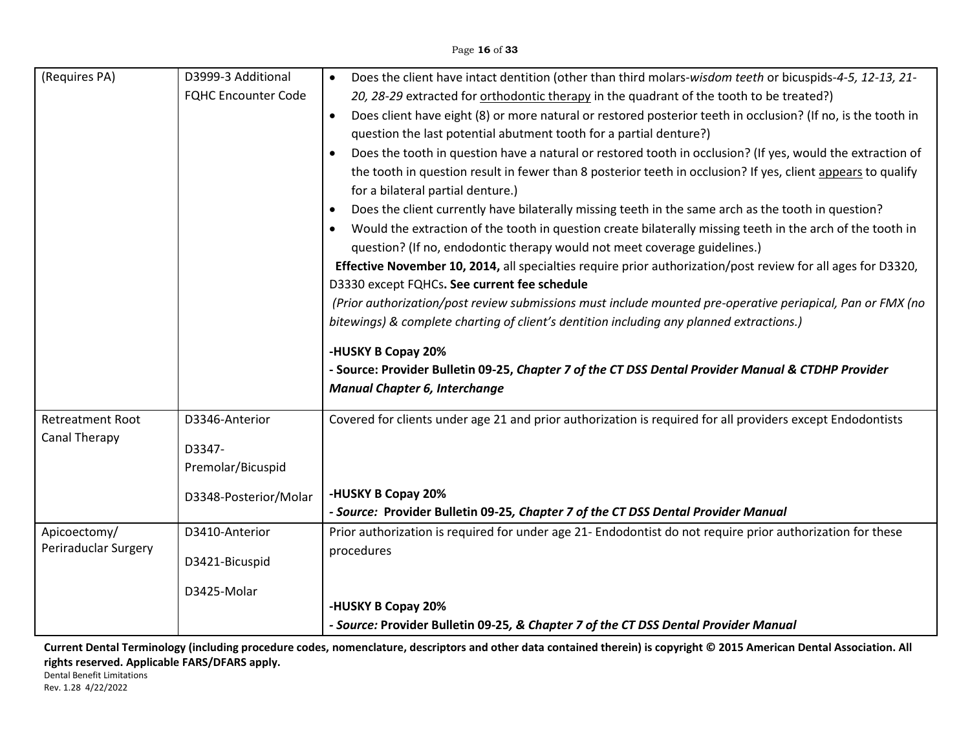| (Requires PA)           | D3999-3 Additional         | Does the client have intact dentition (other than third molars-wisdom teeth or bicuspids-4-5, 12-13, 21-<br>$\bullet$     |
|-------------------------|----------------------------|---------------------------------------------------------------------------------------------------------------------------|
|                         | <b>FQHC Encounter Code</b> | 20, 28-29 extracted for orthodontic therapy in the quadrant of the tooth to be treated?)                                  |
|                         |                            | Does client have eight (8) or more natural or restored posterior teeth in occlusion? (If no, is the tooth in<br>$\bullet$ |
|                         |                            | question the last potential abutment tooth for a partial denture?)                                                        |
|                         |                            | Does the tooth in question have a natural or restored tooth in occlusion? (If yes, would the extraction of<br>$\bullet$   |
|                         |                            | the tooth in question result in fewer than 8 posterior teeth in occlusion? If yes, client appears to qualify              |
|                         |                            | for a bilateral partial denture.)                                                                                         |
|                         |                            | Does the client currently have bilaterally missing teeth in the same arch as the tooth in question?<br>$\bullet$          |
|                         |                            | Would the extraction of the tooth in question create bilaterally missing teeth in the arch of the tooth in<br>$\bullet$   |
|                         |                            | question? (If no, endodontic therapy would not meet coverage guidelines.)                                                 |
|                         |                            | Effective November 10, 2014, all specialties require prior authorization/post review for all ages for D3320,              |
|                         |                            | D3330 except FQHCs. See current fee schedule                                                                              |
|                         |                            | (Prior authorization/post review submissions must include mounted pre-operative periapical, Pan or FMX (no                |
|                         |                            | bitewings) & complete charting of client's dentition including any planned extractions.)                                  |
|                         |                            | -HUSKY B Copay 20%                                                                                                        |
|                         |                            | - Source: Provider Bulletin 09-25, Chapter 7 of the CT DSS Dental Provider Manual & CTDHP Provider                        |
|                         |                            | <b>Manual Chapter 6, Interchange</b>                                                                                      |
| <b>Retreatment Root</b> | D3346-Anterior             | Covered for clients under age 21 and prior authorization is required for all providers except Endodontists                |
| <b>Canal Therapy</b>    | D3347-                     |                                                                                                                           |
|                         | Premolar/Bicuspid          |                                                                                                                           |
|                         |                            | -HUSKY B Copay 20%                                                                                                        |
|                         | D3348-Posterior/Molar      | - Source: Provider Bulletin 09-25, Chapter 7 of the CT DSS Dental Provider Manual                                         |
| Apicoectomy/            | D3410-Anterior             | Prior authorization is required for under age 21- Endodontist do not require prior authorization for these                |
| Periraduclar Surgery    |                            | procedures                                                                                                                |
|                         | D3421-Bicuspid             |                                                                                                                           |
|                         | D3425-Molar                |                                                                                                                           |
|                         |                            | -HUSKY B Copay 20%                                                                                                        |
|                         |                            | - Source: Provider Bulletin 09-25, & Chapter 7 of the CT DSS Dental Provider Manual                                       |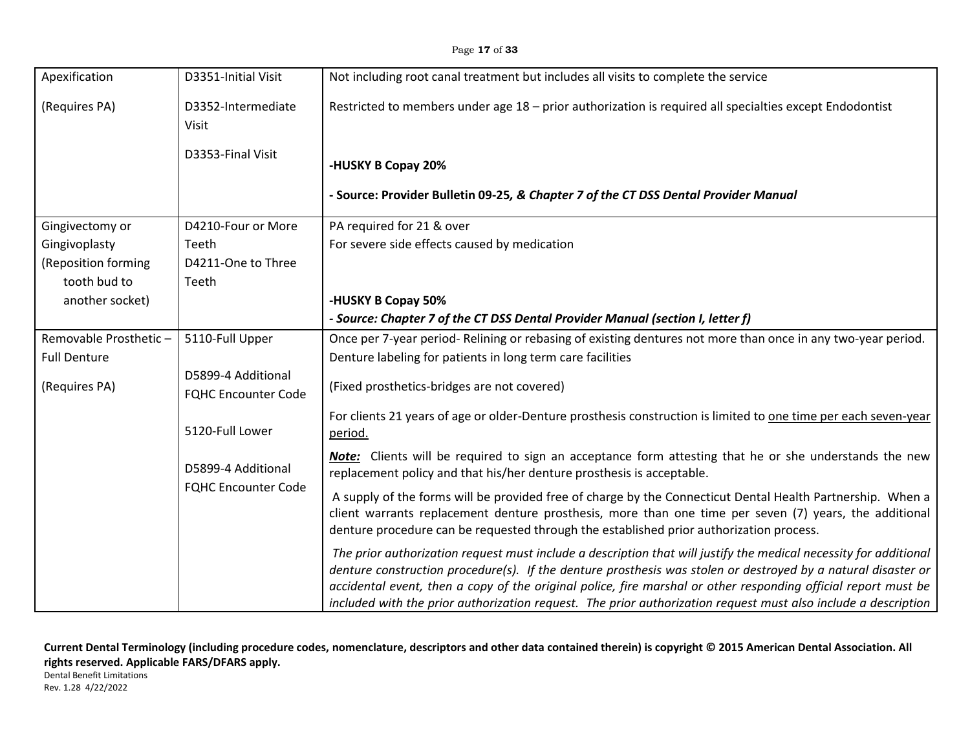| Apexification         | D3351-Initial Visit                              | Not including root canal treatment but includes all visits to complete the service                                                                                                                                                                                                                                                                                                                                                                                     |
|-----------------------|--------------------------------------------------|------------------------------------------------------------------------------------------------------------------------------------------------------------------------------------------------------------------------------------------------------------------------------------------------------------------------------------------------------------------------------------------------------------------------------------------------------------------------|
| (Requires PA)         | D3352-Intermediate                               | Restricted to members under age 18 - prior authorization is required all specialties except Endodontist                                                                                                                                                                                                                                                                                                                                                                |
|                       | Visit                                            |                                                                                                                                                                                                                                                                                                                                                                                                                                                                        |
|                       | D3353-Final Visit                                |                                                                                                                                                                                                                                                                                                                                                                                                                                                                        |
|                       |                                                  | -HUSKY B Copay 20%                                                                                                                                                                                                                                                                                                                                                                                                                                                     |
|                       |                                                  | - Source: Provider Bulletin 09-25, & Chapter 7 of the CT DSS Dental Provider Manual                                                                                                                                                                                                                                                                                                                                                                                    |
| Gingivectomy or       | D4210-Four or More                               | PA required for 21 & over                                                                                                                                                                                                                                                                                                                                                                                                                                              |
| Gingivoplasty         | Teeth                                            | For severe side effects caused by medication                                                                                                                                                                                                                                                                                                                                                                                                                           |
| (Reposition forming   | D4211-One to Three                               |                                                                                                                                                                                                                                                                                                                                                                                                                                                                        |
| tooth bud to          | Teeth                                            |                                                                                                                                                                                                                                                                                                                                                                                                                                                                        |
| another socket)       |                                                  | -HUSKY B Copay 50%                                                                                                                                                                                                                                                                                                                                                                                                                                                     |
|                       |                                                  | - Source: Chapter 7 of the CT DSS Dental Provider Manual (section I, letter f)                                                                                                                                                                                                                                                                                                                                                                                         |
| Removable Prosthetic- | 5110-Full Upper                                  | Once per 7-year period- Relining or rebasing of existing dentures not more than once in any two-year period.                                                                                                                                                                                                                                                                                                                                                           |
| <b>Full Denture</b>   |                                                  | Denture labeling for patients in long term care facilities                                                                                                                                                                                                                                                                                                                                                                                                             |
| (Requires PA)         | D5899-4 Additional<br><b>FQHC Encounter Code</b> | (Fixed prosthetics-bridges are not covered)                                                                                                                                                                                                                                                                                                                                                                                                                            |
|                       | 5120-Full Lower                                  | For clients 21 years of age or older-Denture prosthesis construction is limited to one time per each seven-year<br>period.                                                                                                                                                                                                                                                                                                                                             |
|                       | D5899-4 Additional<br><b>FQHC Encounter Code</b> | <b>Note:</b> Clients will be required to sign an acceptance form attesting that he or she understands the new<br>replacement policy and that his/her denture prosthesis is acceptable.                                                                                                                                                                                                                                                                                 |
|                       |                                                  | A supply of the forms will be provided free of charge by the Connecticut Dental Health Partnership. When a<br>client warrants replacement denture prosthesis, more than one time per seven (7) years, the additional<br>denture procedure can be requested through the established prior authorization process.                                                                                                                                                        |
|                       |                                                  | The prior authorization request must include a description that will justify the medical necessity for additional<br>denture construction procedure(s). If the denture prosthesis was stolen or destroyed by a natural disaster or<br>accidental event, then a copy of the original police, fire marshal or other responding official report must be<br>included with the prior authorization request. The prior authorization request must also include a description |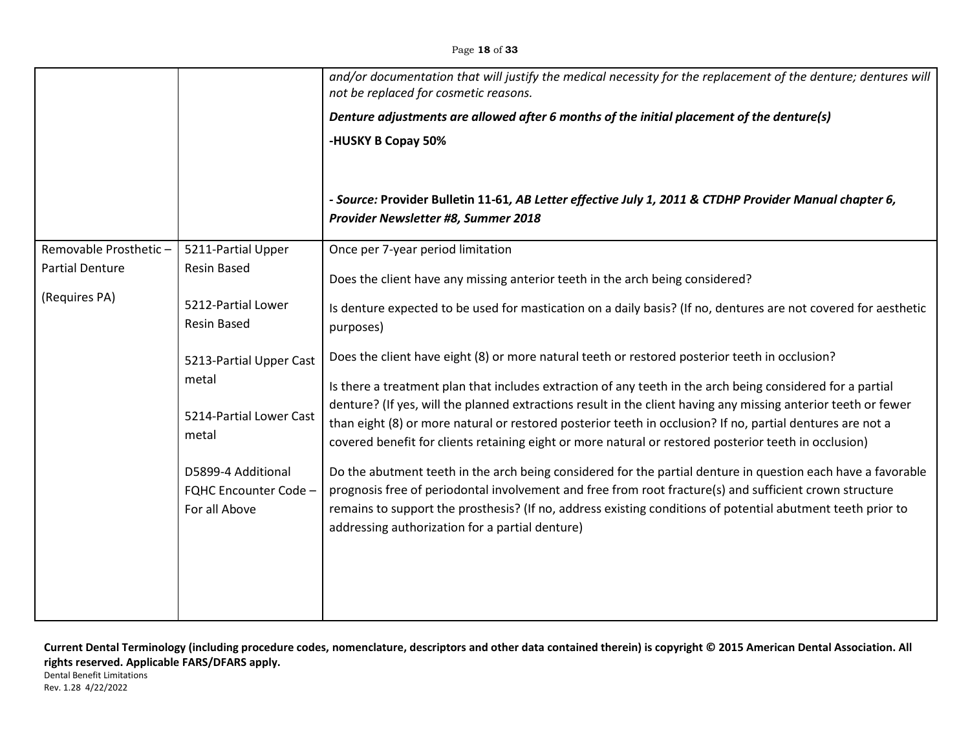|                                                                  |                                                                                                                                                                                                                              | and/or documentation that will justify the medical necessity for the replacement of the denture; dentures will<br>not be replaced for cosmetic reasons.<br>Denture adjustments are allowed after 6 months of the initial placement of the denture(s)<br>-HUSKY B Copay 50%<br>- Source: Provider Bulletin 11-61, AB Letter effective July 1, 2011 & CTDHP Provider Manual chapter 6,<br>Provider Newsletter #8, Summer 2018                                                                                                                                                                                                                                                                                                                                                                                                                                                                                                                                                                                                                                                                                                                                                                              |
|------------------------------------------------------------------|------------------------------------------------------------------------------------------------------------------------------------------------------------------------------------------------------------------------------|----------------------------------------------------------------------------------------------------------------------------------------------------------------------------------------------------------------------------------------------------------------------------------------------------------------------------------------------------------------------------------------------------------------------------------------------------------------------------------------------------------------------------------------------------------------------------------------------------------------------------------------------------------------------------------------------------------------------------------------------------------------------------------------------------------------------------------------------------------------------------------------------------------------------------------------------------------------------------------------------------------------------------------------------------------------------------------------------------------------------------------------------------------------------------------------------------------|
| Removable Prosthetic-<br><b>Partial Denture</b><br>(Requires PA) | 5211-Partial Upper<br><b>Resin Based</b><br>5212-Partial Lower<br><b>Resin Based</b><br>5213-Partial Upper Cast<br>metal<br>5214-Partial Lower Cast<br>metal<br>D5899-4 Additional<br>FQHC Encounter Code -<br>For all Above | Once per 7-year period limitation<br>Does the client have any missing anterior teeth in the arch being considered?<br>Is denture expected to be used for mastication on a daily basis? (If no, dentures are not covered for aesthetic<br>purposes)<br>Does the client have eight (8) or more natural teeth or restored posterior teeth in occlusion?<br>Is there a treatment plan that includes extraction of any teeth in the arch being considered for a partial<br>denture? (If yes, will the planned extractions result in the client having any missing anterior teeth or fewer<br>than eight (8) or more natural or restored posterior teeth in occlusion? If no, partial dentures are not a<br>covered benefit for clients retaining eight or more natural or restored posterior teeth in occlusion)<br>Do the abutment teeth in the arch being considered for the partial denture in question each have a favorable<br>prognosis free of periodontal involvement and free from root fracture(s) and sufficient crown structure<br>remains to support the prosthesis? (If no, address existing conditions of potential abutment teeth prior to<br>addressing authorization for a partial denture) |

Rev. 1.28 4/22/2022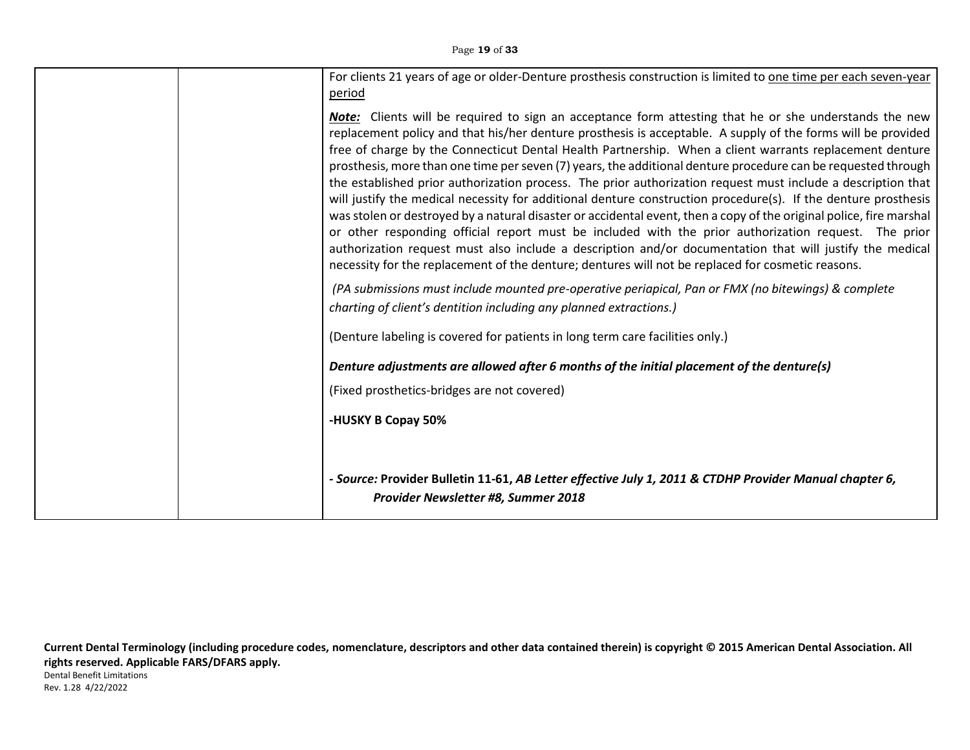| Page 19 of 33 |                                                                                                                                                                                                                                                                                                                                                                                                                                                                                                                                                                                                                                                                                                                                                                                                                                                                                                                                                                                                                                                                                                                                             |  |
|---------------|---------------------------------------------------------------------------------------------------------------------------------------------------------------------------------------------------------------------------------------------------------------------------------------------------------------------------------------------------------------------------------------------------------------------------------------------------------------------------------------------------------------------------------------------------------------------------------------------------------------------------------------------------------------------------------------------------------------------------------------------------------------------------------------------------------------------------------------------------------------------------------------------------------------------------------------------------------------------------------------------------------------------------------------------------------------------------------------------------------------------------------------------|--|
|               | For clients 21 years of age or older-Denture prosthesis construction is limited to one time per each seven-year<br>period                                                                                                                                                                                                                                                                                                                                                                                                                                                                                                                                                                                                                                                                                                                                                                                                                                                                                                                                                                                                                   |  |
|               | <b>Note:</b> Clients will be required to sign an acceptance form attesting that he or she understands the new<br>replacement policy and that his/her denture prosthesis is acceptable. A supply of the forms will be provided<br>free of charge by the Connecticut Dental Health Partnership. When a client warrants replacement denture<br>prosthesis, more than one time per seven (7) years, the additional denture procedure can be requested through<br>the established prior authorization process. The prior authorization request must include a description that<br>will justify the medical necessity for additional denture construction procedure(s). If the denture prosthesis<br>was stolen or destroyed by a natural disaster or accidental event, then a copy of the original police, fire marshal<br>or other responding official report must be included with the prior authorization request. The prior<br>authorization request must also include a description and/or documentation that will justify the medical<br>necessity for the replacement of the denture; dentures will not be replaced for cosmetic reasons. |  |
|               | (PA submissions must include mounted pre-operative periapical, Pan or FMX (no bitewings) & complete<br>charting of client's dentition including any planned extractions.)                                                                                                                                                                                                                                                                                                                                                                                                                                                                                                                                                                                                                                                                                                                                                                                                                                                                                                                                                                   |  |
|               | (Denture labeling is covered for patients in long term care facilities only.)                                                                                                                                                                                                                                                                                                                                                                                                                                                                                                                                                                                                                                                                                                                                                                                                                                                                                                                                                                                                                                                               |  |
|               | Denture adjustments are allowed after 6 months of the initial placement of the denture(s)                                                                                                                                                                                                                                                                                                                                                                                                                                                                                                                                                                                                                                                                                                                                                                                                                                                                                                                                                                                                                                                   |  |
|               | (Fixed prosthetics-bridges are not covered)                                                                                                                                                                                                                                                                                                                                                                                                                                                                                                                                                                                                                                                                                                                                                                                                                                                                                                                                                                                                                                                                                                 |  |
|               | -HUSKY B Copay 50%                                                                                                                                                                                                                                                                                                                                                                                                                                                                                                                                                                                                                                                                                                                                                                                                                                                                                                                                                                                                                                                                                                                          |  |
|               | - Source: Provider Bulletin 11-61, AB Letter effective July 1, 2011 & CTDHP Provider Manual chapter 6,<br>Provider Newsletter #8, Summer 2018                                                                                                                                                                                                                                                                                                                                                                                                                                                                                                                                                                                                                                                                                                                                                                                                                                                                                                                                                                                               |  |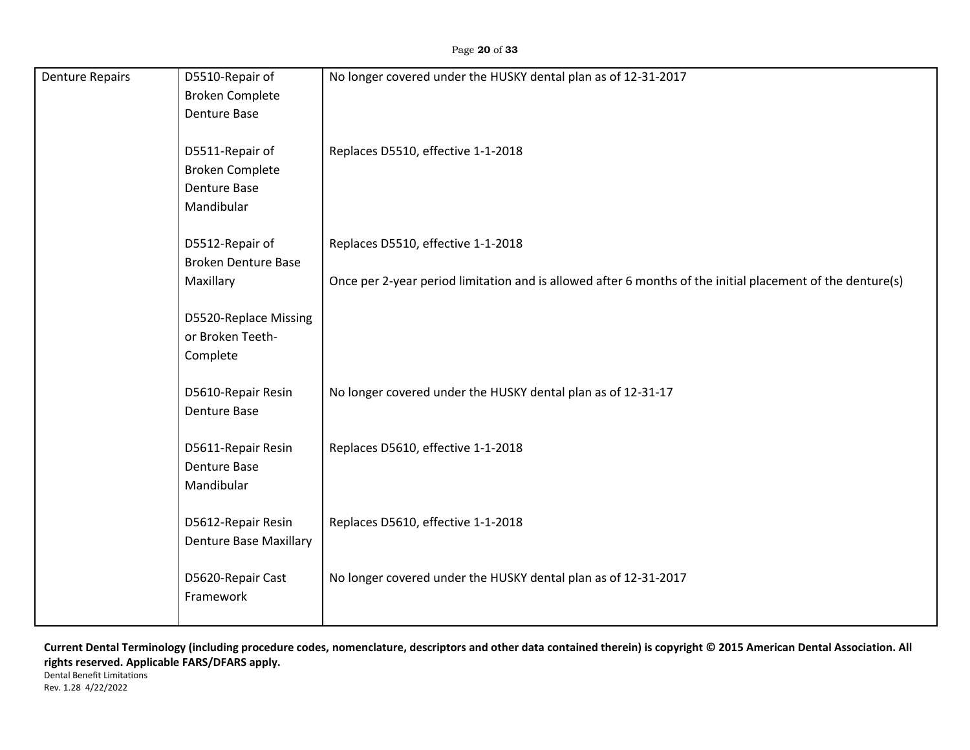| <b>Denture Repairs</b> | D5510-Repair of               | No longer covered under the HUSKY dental plan as of 12-31-2017                                             |
|------------------------|-------------------------------|------------------------------------------------------------------------------------------------------------|
|                        | <b>Broken Complete</b>        |                                                                                                            |
|                        | <b>Denture Base</b>           |                                                                                                            |
|                        |                               |                                                                                                            |
|                        | D5511-Repair of               | Replaces D5510, effective 1-1-2018                                                                         |
|                        | <b>Broken Complete</b>        |                                                                                                            |
|                        | <b>Denture Base</b>           |                                                                                                            |
|                        | Mandibular                    |                                                                                                            |
|                        |                               |                                                                                                            |
|                        | D5512-Repair of               | Replaces D5510, effective 1-1-2018                                                                         |
|                        | <b>Broken Denture Base</b>    |                                                                                                            |
|                        |                               |                                                                                                            |
|                        | Maxillary                     | Once per 2-year period limitation and is allowed after 6 months of the initial placement of the denture(s) |
|                        | D5520-Replace Missing         |                                                                                                            |
|                        | or Broken Teeth-              |                                                                                                            |
|                        |                               |                                                                                                            |
|                        | Complete                      |                                                                                                            |
|                        |                               |                                                                                                            |
|                        | D5610-Repair Resin            | No longer covered under the HUSKY dental plan as of 12-31-17                                               |
|                        | <b>Denture Base</b>           |                                                                                                            |
|                        |                               |                                                                                                            |
|                        | D5611-Repair Resin            | Replaces D5610, effective 1-1-2018                                                                         |
|                        | <b>Denture Base</b>           |                                                                                                            |
|                        | Mandibular                    |                                                                                                            |
|                        |                               |                                                                                                            |
|                        | D5612-Repair Resin            | Replaces D5610, effective 1-1-2018                                                                         |
|                        | <b>Denture Base Maxillary</b> |                                                                                                            |
|                        |                               |                                                                                                            |
|                        | D5620-Repair Cast             | No longer covered under the HUSKY dental plan as of 12-31-2017                                             |
|                        | Framework                     |                                                                                                            |
|                        |                               |                                                                                                            |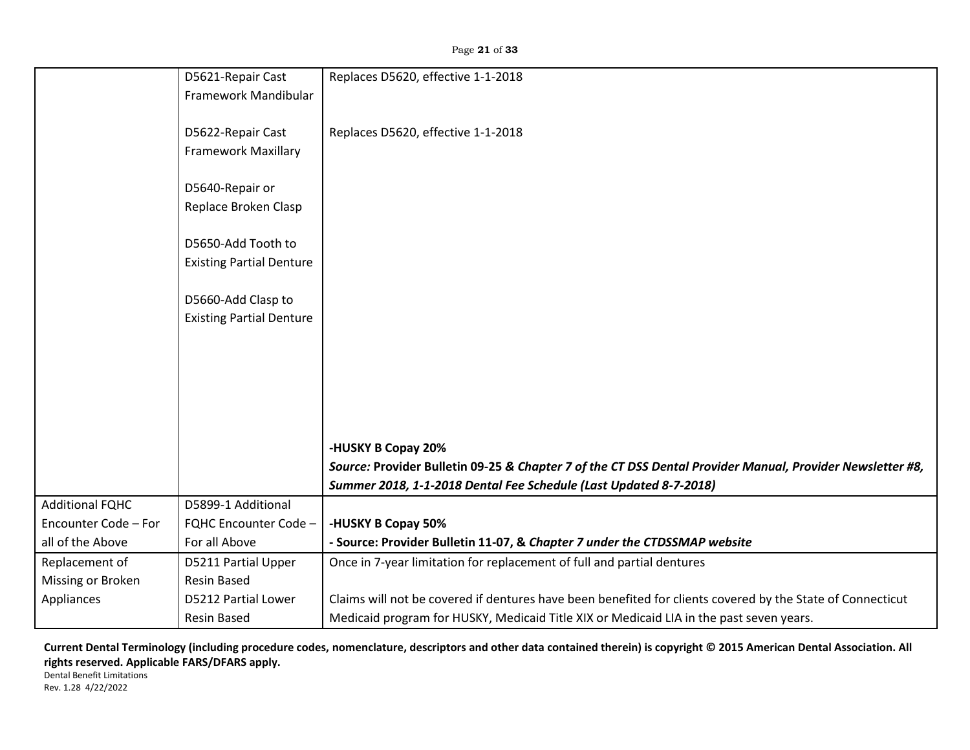Page **21** of **33**

|                        | D5621-Repair Cast               | Replaces D5620, effective 1-1-2018                                                                         |
|------------------------|---------------------------------|------------------------------------------------------------------------------------------------------------|
|                        | Framework Mandibular            |                                                                                                            |
|                        |                                 |                                                                                                            |
|                        | D5622-Repair Cast               | Replaces D5620, effective 1-1-2018                                                                         |
|                        | <b>Framework Maxillary</b>      |                                                                                                            |
|                        |                                 |                                                                                                            |
|                        | D5640-Repair or                 |                                                                                                            |
|                        | Replace Broken Clasp            |                                                                                                            |
|                        |                                 |                                                                                                            |
|                        |                                 |                                                                                                            |
|                        | D5650-Add Tooth to              |                                                                                                            |
|                        | <b>Existing Partial Denture</b> |                                                                                                            |
|                        |                                 |                                                                                                            |
|                        | D5660-Add Clasp to              |                                                                                                            |
|                        | <b>Existing Partial Denture</b> |                                                                                                            |
|                        |                                 |                                                                                                            |
|                        |                                 |                                                                                                            |
|                        |                                 |                                                                                                            |
|                        |                                 |                                                                                                            |
|                        |                                 |                                                                                                            |
|                        |                                 |                                                                                                            |
|                        |                                 |                                                                                                            |
|                        |                                 | -HUSKY B Copay 20%                                                                                         |
|                        |                                 | Source: Provider Bulletin 09-25 & Chapter 7 of the CT DSS Dental Provider Manual, Provider Newsletter #8,  |
|                        |                                 | Summer 2018, 1-1-2018 Dental Fee Schedule (Last Updated 8-7-2018)                                          |
| <b>Additional FQHC</b> | D5899-1 Additional              |                                                                                                            |
| Encounter Code - For   | FQHC Encounter Code -           | -HUSKY B Copay 50%                                                                                         |
| all of the Above       | For all Above                   | - Source: Provider Bulletin 11-07, & Chapter 7 under the CTDSSMAP website                                  |
| Replacement of         | D5211 Partial Upper             | Once in 7-year limitation for replacement of full and partial dentures                                     |
| Missing or Broken      | <b>Resin Based</b>              |                                                                                                            |
| Appliances             | D5212 Partial Lower             | Claims will not be covered if dentures have been benefited for clients covered by the State of Connecticut |
|                        | <b>Resin Based</b>              | Medicaid program for HUSKY, Medicaid Title XIX or Medicaid LIA in the past seven years.                    |

**Current Dental Terminology (including procedure codes, nomenclature, descriptors and other data contained therein) is copyright © 2015 American Dental Association. All rights reserved. Applicable FARS/DFARS apply.**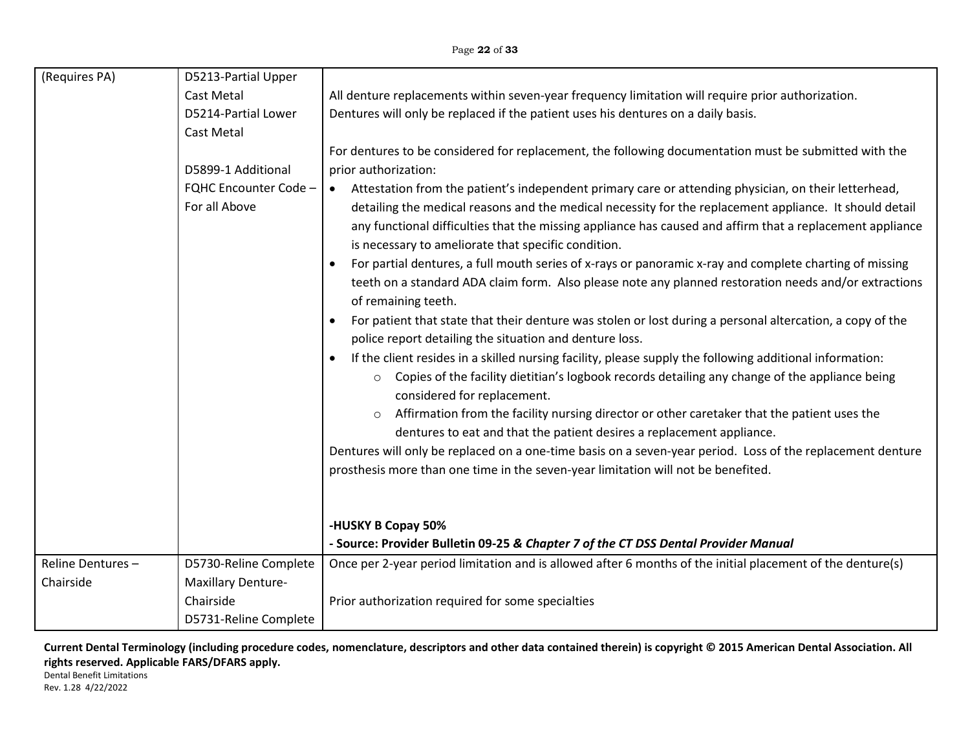| (Requires PA)    | D5213-Partial Upper   |                                                                                                                        |
|------------------|-----------------------|------------------------------------------------------------------------------------------------------------------------|
|                  | <b>Cast Metal</b>     | All denture replacements within seven-year frequency limitation will require prior authorization.                      |
|                  | D5214-Partial Lower   | Dentures will only be replaced if the patient uses his dentures on a daily basis.                                      |
|                  | <b>Cast Metal</b>     |                                                                                                                        |
|                  |                       | For dentures to be considered for replacement, the following documentation must be submitted with the                  |
|                  | D5899-1 Additional    | prior authorization:                                                                                                   |
|                  | FQHC Encounter Code - | Attestation from the patient's independent primary care or attending physician, on their letterhead,<br>$\bullet$      |
|                  | For all Above         | detailing the medical reasons and the medical necessity for the replacement appliance. It should detail                |
|                  |                       | any functional difficulties that the missing appliance has caused and affirm that a replacement appliance              |
|                  |                       | is necessary to ameliorate that specific condition.                                                                    |
|                  |                       | For partial dentures, a full mouth series of x-rays or panoramic x-ray and complete charting of missing<br>$\bullet$   |
|                  |                       | teeth on a standard ADA claim form. Also please note any planned restoration needs and/or extractions                  |
|                  |                       | of remaining teeth.                                                                                                    |
|                  |                       | For patient that state that their denture was stolen or lost during a personal altercation, a copy of the<br>$\bullet$ |
|                  |                       | police report detailing the situation and denture loss.                                                                |
|                  |                       | If the client resides in a skilled nursing facility, please supply the following additional information:<br>$\bullet$  |
|                  |                       | Copies of the facility dietitian's logbook records detailing any change of the appliance being<br>$\circ$              |
|                  |                       | considered for replacement.                                                                                            |
|                  |                       | Affirmation from the facility nursing director or other caretaker that the patient uses the                            |
|                  |                       | dentures to eat and that the patient desires a replacement appliance.                                                  |
|                  |                       | Dentures will only be replaced on a one-time basis on a seven-year period. Loss of the replacement denture             |
|                  |                       | prosthesis more than one time in the seven-year limitation will not be benefited.                                      |
|                  |                       |                                                                                                                        |
|                  |                       |                                                                                                                        |
|                  |                       | -HUSKY B Copay 50%                                                                                                     |
|                  |                       | - Source: Provider Bulletin 09-25 & Chapter 7 of the CT DSS Dental Provider Manual                                     |
| Reline Dentures- | D5730-Reline Complete | Once per 2-year period limitation and is allowed after 6 months of the initial placement of the denture(s)             |
| Chairside        | Maxillary Denture-    |                                                                                                                        |
|                  | Chairside             | Prior authorization required for some specialties                                                                      |
|                  | D5731-Reline Complete |                                                                                                                        |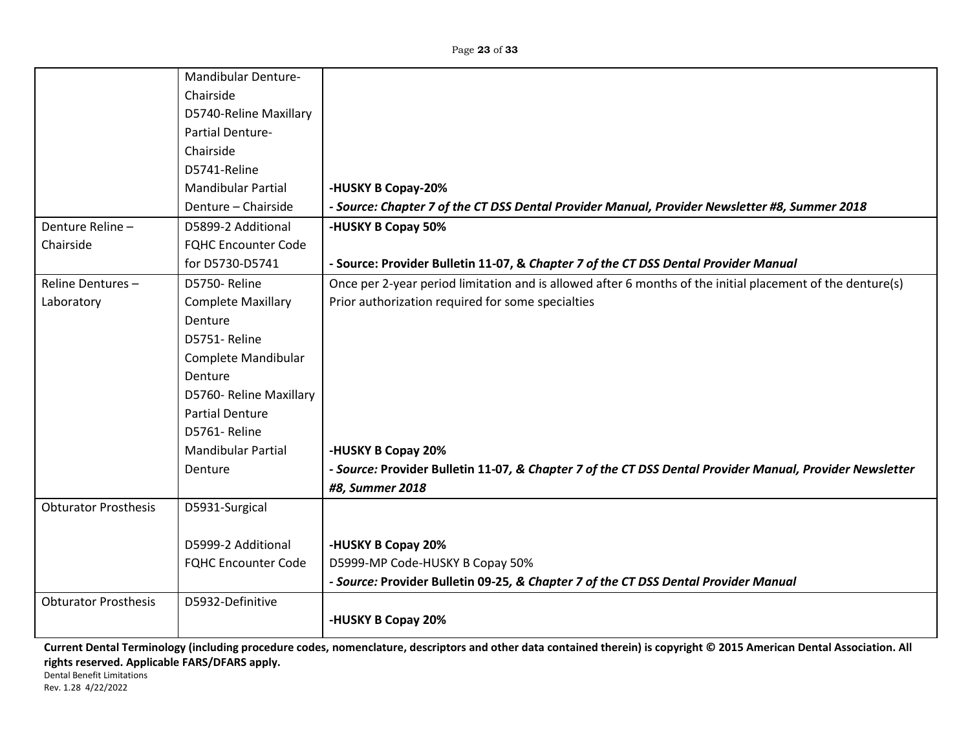Page **23** of **33**

|                             | Mandibular Denture-        |                                                                                                            |
|-----------------------------|----------------------------|------------------------------------------------------------------------------------------------------------|
|                             | Chairside                  |                                                                                                            |
|                             | D5740-Reline Maxillary     |                                                                                                            |
|                             | Partial Denture-           |                                                                                                            |
|                             | Chairside                  |                                                                                                            |
|                             | D5741-Reline               |                                                                                                            |
|                             | <b>Mandibular Partial</b>  | -HUSKY B Copay-20%                                                                                         |
|                             | Denture - Chairside        | - Source: Chapter 7 of the CT DSS Dental Provider Manual, Provider Newsletter #8, Summer 2018              |
| Denture Reline-             | D5899-2 Additional         | -HUSKY B Copay 50%                                                                                         |
| Chairside                   | <b>FQHC Encounter Code</b> |                                                                                                            |
|                             | for D5730-D5741            | - Source: Provider Bulletin 11-07, & Chapter 7 of the CT DSS Dental Provider Manual                        |
| Reline Dentures-            | D5750-Reline               | Once per 2-year period limitation and is allowed after 6 months of the initial placement of the denture(s) |
| Laboratory                  | <b>Complete Maxillary</b>  | Prior authorization required for some specialties                                                          |
|                             | Denture                    |                                                                                                            |
|                             | D5751-Reline               |                                                                                                            |
|                             | Complete Mandibular        |                                                                                                            |
|                             | Denture                    |                                                                                                            |
|                             | D5760- Reline Maxillary    |                                                                                                            |
|                             | <b>Partial Denture</b>     |                                                                                                            |
|                             | D5761-Reline               |                                                                                                            |
|                             | <b>Mandibular Partial</b>  | -HUSKY B Copay 20%                                                                                         |
|                             | Denture                    | - Source: Provider Bulletin 11-07, & Chapter 7 of the CT DSS Dental Provider Manual, Provider Newsletter   |
|                             |                            | #8, Summer 2018                                                                                            |
| <b>Obturator Prosthesis</b> | D5931-Surgical             |                                                                                                            |
|                             |                            |                                                                                                            |
|                             | D5999-2 Additional         | -HUSKY B Copay 20%                                                                                         |
|                             | <b>FQHC Encounter Code</b> | D5999-MP Code-HUSKY B Copay 50%                                                                            |
|                             |                            | - Source: Provider Bulletin 09-25, & Chapter 7 of the CT DSS Dental Provider Manual                        |
| <b>Obturator Prosthesis</b> | D5932-Definitive           |                                                                                                            |
|                             |                            | -HUSKY B Copay 20%                                                                                         |

**Current Dental Terminology (including procedure codes, nomenclature, descriptors and other data contained therein) is copyright © 2015 American Dental Association. All rights reserved. Applicable FARS/DFARS apply.**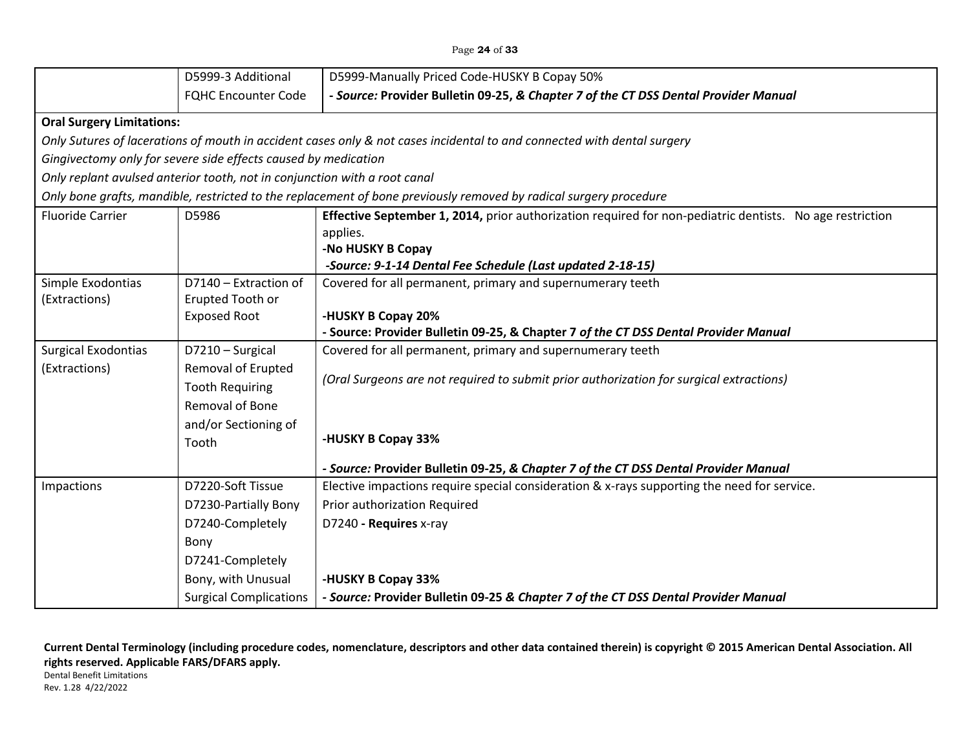|                                  |                                                                           | Page 24 of 33                                                                                                           |
|----------------------------------|---------------------------------------------------------------------------|-------------------------------------------------------------------------------------------------------------------------|
|                                  | D5999-3 Additional                                                        | D5999-Manually Priced Code-HUSKY B Copay 50%                                                                            |
|                                  | <b>FQHC Encounter Code</b>                                                | - Source: Provider Bulletin 09-25, & Chapter 7 of the CT DSS Dental Provider Manual                                     |
| <b>Oral Surgery Limitations:</b> |                                                                           |                                                                                                                         |
|                                  |                                                                           | Only Sutures of lacerations of mouth in accident cases only & not cases incidental to and connected with dental surgery |
|                                  | Gingivectomy only for severe side effects caused by medication            |                                                                                                                         |
|                                  | Only replant avulsed anterior tooth, not in conjunction with a root canal |                                                                                                                         |
|                                  |                                                                           | Only bone grafts, mandible, restricted to the replacement of bone previously removed by radical surgery procedure       |
| <b>Fluoride Carrier</b>          | D5986                                                                     | Effective September 1, 2014, prior authorization required for non-pediatric dentists. No age restriction                |
|                                  |                                                                           | applies.                                                                                                                |
|                                  |                                                                           | -No HUSKY B Copay                                                                                                       |
|                                  |                                                                           | -Source: 9-1-14 Dental Fee Schedule (Last updated 2-18-15)                                                              |
| Simple Exodontias                | D7140 - Extraction of                                                     | Covered for all permanent, primary and supernumerary teeth                                                              |
| (Extractions)                    | Erupted Tooth or<br><b>Exposed Root</b>                                   | -HUSKY B Copay 20%                                                                                                      |
|                                  |                                                                           | - Source: Provider Bulletin 09-25, & Chapter 7 of the CT DSS Dental Provider Manual                                     |
| <b>Surgical Exodontias</b>       | D7210 - Surgical                                                          | Covered for all permanent, primary and supernumerary teeth                                                              |
| (Extractions)                    | Removal of Erupted                                                        |                                                                                                                         |
|                                  | <b>Tooth Requiring</b>                                                    | (Oral Surgeons are not required to submit prior authorization for surgical extractions)                                 |
|                                  | Removal of Bone                                                           |                                                                                                                         |
|                                  |                                                                           |                                                                                                                         |
|                                  | and/or Sectioning of<br>Tooth                                             | -HUSKY B Copay 33%                                                                                                      |
|                                  |                                                                           |                                                                                                                         |
|                                  |                                                                           | - Source: Provider Bulletin 09-25, & Chapter 7 of the CT DSS Dental Provider Manual                                     |
| Impactions                       | D7220-Soft Tissue                                                         | Elective impactions require special consideration & x-rays supporting the need for service.                             |
|                                  | D7230-Partially Bony                                                      | Prior authorization Required                                                                                            |
|                                  | D7240-Completely                                                          | D7240 - Requires x-ray                                                                                                  |
|                                  | Bony                                                                      |                                                                                                                         |
|                                  | D7241-Completely                                                          |                                                                                                                         |
|                                  | Bony, with Unusual                                                        | -HUSKY B Copay 33%                                                                                                      |
|                                  | <b>Surgical Complications</b>                                             | - Source: Provider Bulletin 09-25 & Chapter 7 of the CT DSS Dental Provider Manual                                      |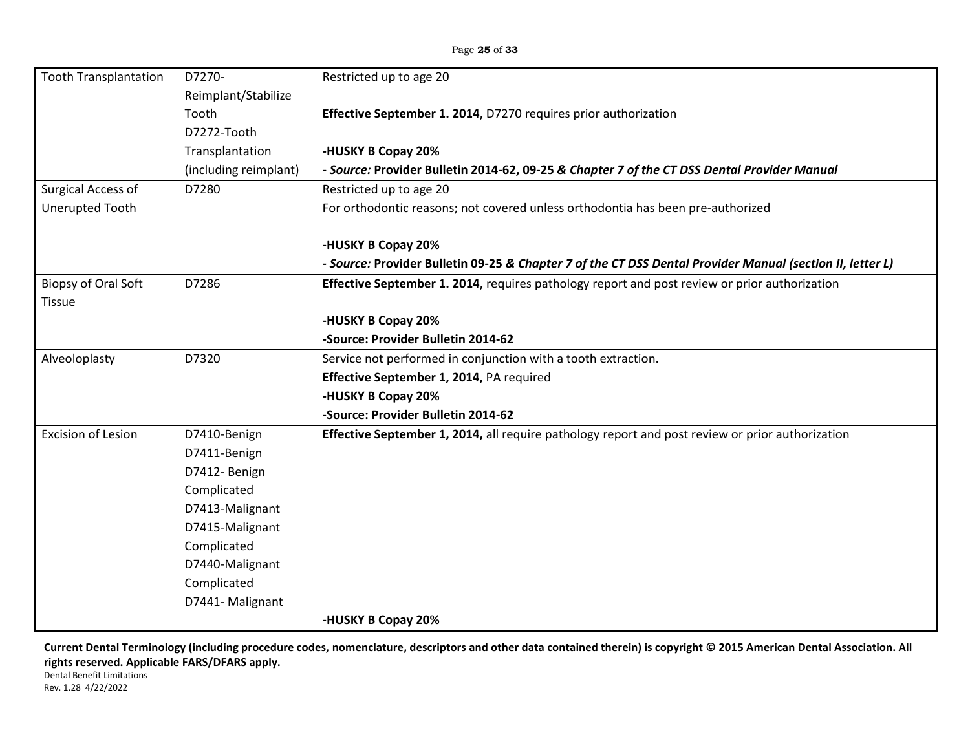| <b>Tooth Transplantation</b> | D7270-                | Restricted up to age 20                                                                                   |
|------------------------------|-----------------------|-----------------------------------------------------------------------------------------------------------|
|                              | Reimplant/Stabilize   |                                                                                                           |
|                              | Tooth                 | Effective September 1. 2014, D7270 requires prior authorization                                           |
|                              | D7272-Tooth           |                                                                                                           |
|                              | Transplantation       | -HUSKY B Copay 20%                                                                                        |
|                              | (including reimplant) | - Source: Provider Bulletin 2014-62, 09-25 & Chapter 7 of the CT DSS Dental Provider Manual               |
| Surgical Access of           | D7280                 | Restricted up to age 20                                                                                   |
| <b>Unerupted Tooth</b>       |                       | For orthodontic reasons; not covered unless orthodontia has been pre-authorized                           |
|                              |                       |                                                                                                           |
|                              |                       | -HUSKY B Copay 20%                                                                                        |
|                              |                       | - Source: Provider Bulletin 09-25 & Chapter 7 of the CT DSS Dental Provider Manual (section II, letter L) |
| Biopsy of Oral Soft          | D7286                 | Effective September 1. 2014, requires pathology report and post review or prior authorization             |
| <b>Tissue</b>                |                       |                                                                                                           |
|                              |                       | -HUSKY B Copay 20%                                                                                        |
|                              |                       | -Source: Provider Bulletin 2014-62                                                                        |
| Alveoloplasty                | D7320                 | Service not performed in conjunction with a tooth extraction.                                             |
|                              |                       | Effective September 1, 2014, PA required                                                                  |
|                              |                       | -HUSKY B Copay 20%                                                                                        |
|                              |                       | -Source: Provider Bulletin 2014-62                                                                        |
| <b>Excision of Lesion</b>    | D7410-Benign          | Effective September 1, 2014, all require pathology report and post review or prior authorization          |
|                              | D7411-Benign          |                                                                                                           |
|                              | D7412- Benign         |                                                                                                           |
|                              | Complicated           |                                                                                                           |
|                              | D7413-Malignant       |                                                                                                           |
|                              | D7415-Malignant       |                                                                                                           |
|                              | Complicated           |                                                                                                           |
|                              | D7440-Malignant       |                                                                                                           |
|                              | Complicated           |                                                                                                           |
|                              | D7441- Malignant      |                                                                                                           |
|                              |                       | -HUSKY B Copay 20%                                                                                        |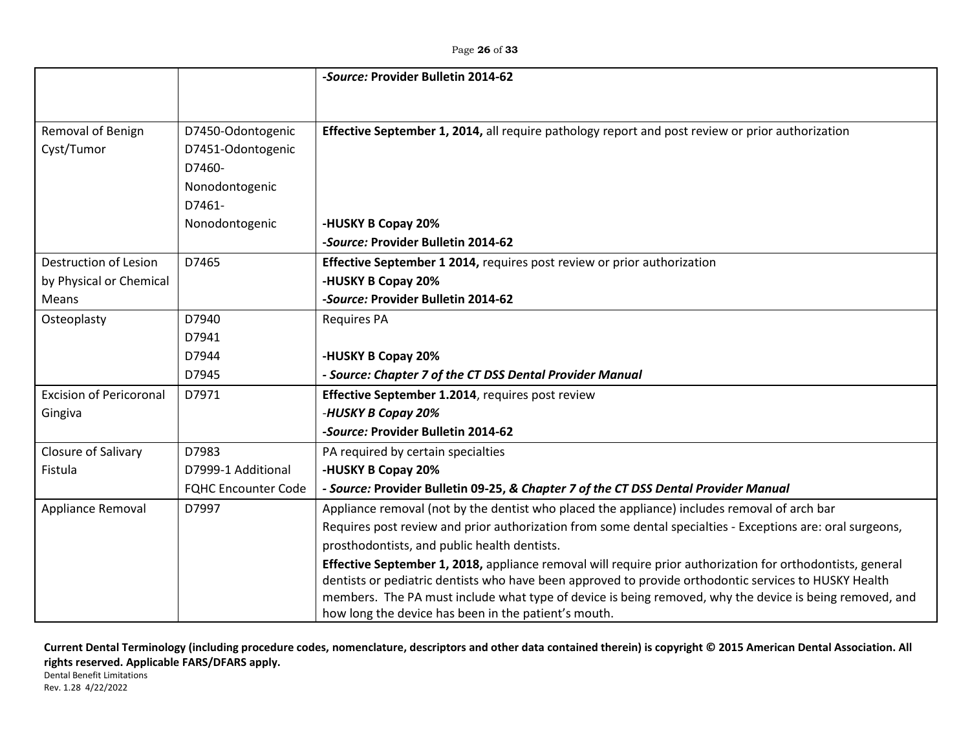|                                |                            | -Source: Provider Bulletin 2014-62                                                                         |
|--------------------------------|----------------------------|------------------------------------------------------------------------------------------------------------|
|                                |                            |                                                                                                            |
|                                |                            |                                                                                                            |
| Removal of Benign              | D7450-Odontogenic          | Effective September 1, 2014, all require pathology report and post review or prior authorization           |
| Cyst/Tumor                     | D7451-Odontogenic          |                                                                                                            |
|                                | D7460-                     |                                                                                                            |
|                                | Nonodontogenic             |                                                                                                            |
|                                | D7461-                     |                                                                                                            |
|                                | Nonodontogenic             | -HUSKY B Copay 20%                                                                                         |
|                                |                            | -Source: Provider Bulletin 2014-62                                                                         |
| <b>Destruction of Lesion</b>   | D7465                      | Effective September 1 2014, requires post review or prior authorization                                    |
| by Physical or Chemical        |                            | -HUSKY B Copay 20%                                                                                         |
| Means                          |                            | -Source: Provider Bulletin 2014-62                                                                         |
| Osteoplasty                    | D7940                      | <b>Requires PA</b>                                                                                         |
|                                | D7941                      |                                                                                                            |
|                                | D7944                      | -HUSKY B Copay 20%                                                                                         |
|                                | D7945                      | - Source: Chapter 7 of the CT DSS Dental Provider Manual                                                   |
| <b>Excision of Pericoronal</b> | D7971                      | Effective September 1.2014, requires post review                                                           |
| Gingiva                        |                            | -HUSKY B Copay 20%                                                                                         |
|                                |                            | -Source: Provider Bulletin 2014-62                                                                         |
| Closure of Salivary            | D7983                      | PA required by certain specialties                                                                         |
| Fistula                        | D7999-1 Additional         | -HUSKY B Copay 20%                                                                                         |
|                                | <b>FQHC Encounter Code</b> | - Source: Provider Bulletin 09-25, & Chapter 7 of the CT DSS Dental Provider Manual                        |
| Appliance Removal              | D7997                      | Appliance removal (not by the dentist who placed the appliance) includes removal of arch bar               |
|                                |                            | Requires post review and prior authorization from some dental specialties - Exceptions are: oral surgeons, |
|                                |                            | prosthodontists, and public health dentists.                                                               |
|                                |                            | Effective September 1, 2018, appliance removal will require prior authorization for orthodontists, general |
|                                |                            | dentists or pediatric dentists who have been approved to provide orthodontic services to HUSKY Health      |
|                                |                            | members. The PA must include what type of device is being removed, why the device is being removed, and    |
|                                |                            | how long the device has been in the patient's mouth.                                                       |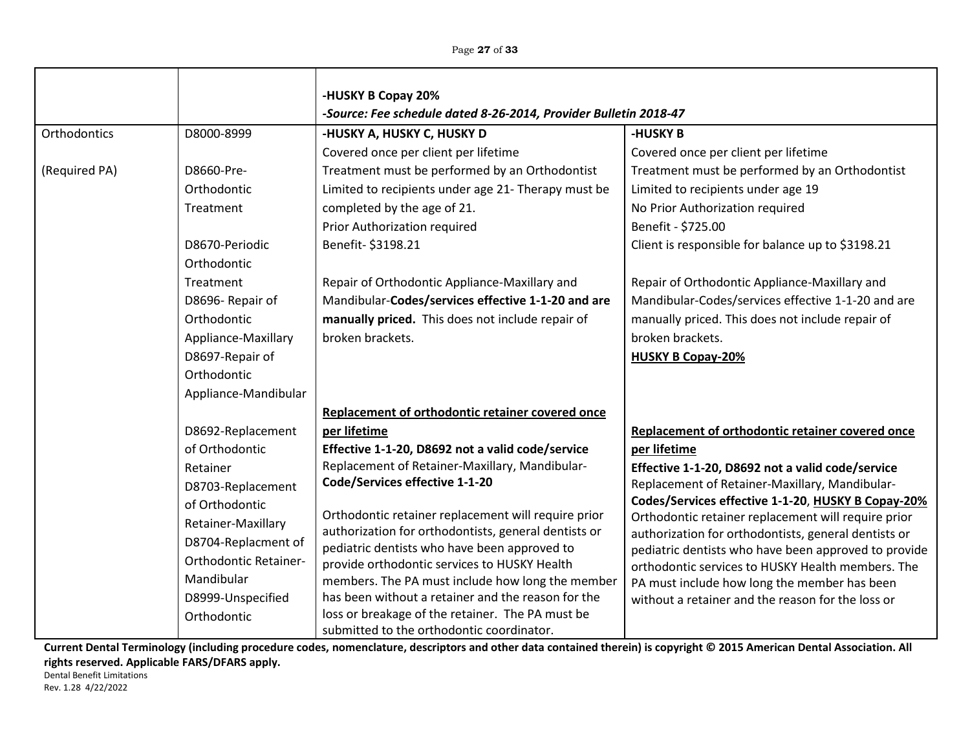|               |                              | -HUSKY B Copay 20%                                                                                          |                                                                                                              |
|---------------|------------------------------|-------------------------------------------------------------------------------------------------------------|--------------------------------------------------------------------------------------------------------------|
|               |                              | -Source: Fee schedule dated 8-26-2014, Provider Bulletin 2018-47                                            |                                                                                                              |
| Orthodontics  | D8000-8999                   | -HUSKY A, HUSKY C, HUSKY D                                                                                  | -HUSKY B                                                                                                     |
|               |                              | Covered once per client per lifetime                                                                        | Covered once per client per lifetime                                                                         |
| (Required PA) | D8660-Pre-                   | Treatment must be performed by an Orthodontist                                                              | Treatment must be performed by an Orthodontist                                                               |
|               | Orthodontic                  | Limited to recipients under age 21- Therapy must be                                                         | Limited to recipients under age 19                                                                           |
|               | Treatment                    | completed by the age of 21.                                                                                 | No Prior Authorization required                                                                              |
|               |                              | Prior Authorization required                                                                                | Benefit - \$725.00                                                                                           |
|               | D8670-Periodic               | Benefit- \$3198.21                                                                                          | Client is responsible for balance up to \$3198.21                                                            |
|               | Orthodontic                  |                                                                                                             |                                                                                                              |
|               | Treatment                    | Repair of Orthodontic Appliance-Maxillary and                                                               | Repair of Orthodontic Appliance-Maxillary and                                                                |
|               | D8696- Repair of             | Mandibular-Codes/services effective 1-1-20 and are                                                          | Mandibular-Codes/services effective 1-1-20 and are                                                           |
|               | Orthodontic                  | manually priced. This does not include repair of                                                            | manually priced. This does not include repair of                                                             |
|               | Appliance-Maxillary          | broken brackets.                                                                                            | broken brackets.                                                                                             |
|               | D8697-Repair of              |                                                                                                             | <b>HUSKY B Copay-20%</b>                                                                                     |
|               | Orthodontic                  |                                                                                                             |                                                                                                              |
|               | Appliance-Mandibular         |                                                                                                             |                                                                                                              |
|               |                              | Replacement of orthodontic retainer covered once                                                            |                                                                                                              |
|               | D8692-Replacement            | per lifetime                                                                                                | Replacement of orthodontic retainer covered once                                                             |
|               | of Orthodontic               | Effective 1-1-20, D8692 not a valid code/service                                                            | per lifetime                                                                                                 |
|               | Retainer                     | Replacement of Retainer-Maxillary, Mandibular-                                                              | Effective 1-1-20, D8692 not a valid code/service                                                             |
|               | D8703-Replacement            | Code/Services effective 1-1-20                                                                              | Replacement of Retainer-Maxillary, Mandibular-                                                               |
|               | of Orthodontic               |                                                                                                             | Codes/Services effective 1-1-20, HUSKY B Copay-20%                                                           |
|               | Retainer-Maxillary           | Orthodontic retainer replacement will require prior<br>authorization for orthodontists, general dentists or | Orthodontic retainer replacement will require prior                                                          |
|               | D8704-Replacment of          | pediatric dentists who have been approved to                                                                | authorization for orthodontists, general dentists or<br>pediatric dentists who have been approved to provide |
|               | <b>Orthodontic Retainer-</b> | provide orthodontic services to HUSKY Health                                                                | orthodontic services to HUSKY Health members. The                                                            |
|               | Mandibular                   | members. The PA must include how long the member                                                            | PA must include how long the member has been                                                                 |
|               | D8999-Unspecified            | has been without a retainer and the reason for the                                                          | without a retainer and the reason for the loss or                                                            |
|               | Orthodontic                  | loss or breakage of the retainer. The PA must be                                                            |                                                                                                              |
|               |                              | submitted to the orthodontic coordinator.                                                                   |                                                                                                              |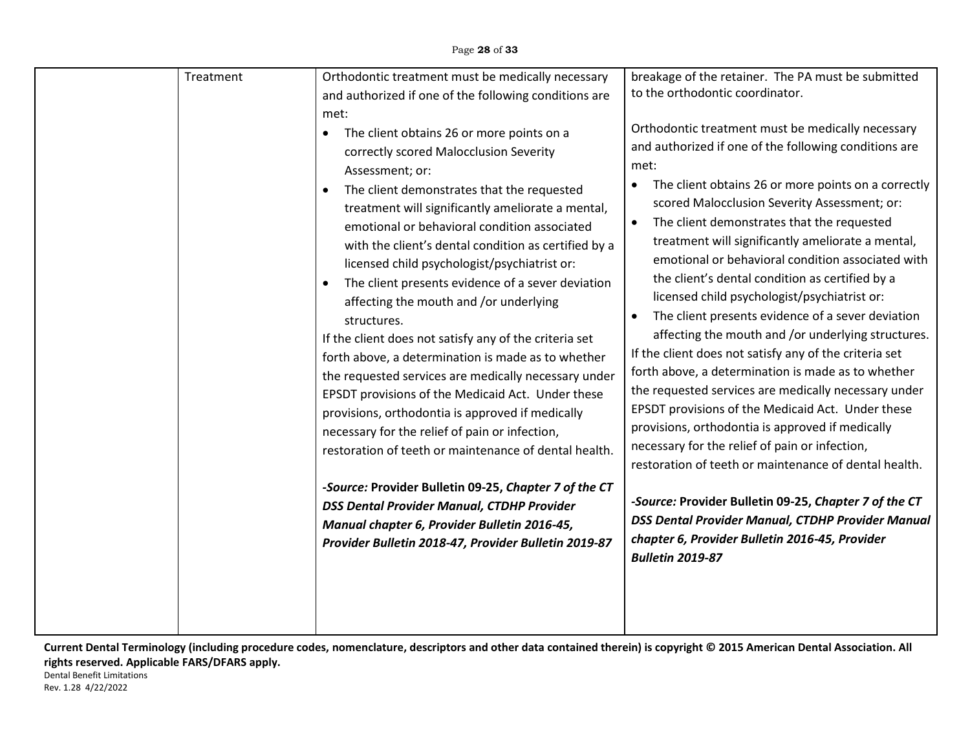| Treatment | Orthodontic treatment must be medically necessary<br>and authorized if one of the following conditions are<br>met:<br>The client obtains 26 or more points on a<br>$\bullet$<br>correctly scored Malocclusion Severity<br>Assessment; or:<br>The client demonstrates that the requested<br>$\bullet$<br>treatment will significantly ameliorate a mental,<br>emotional or behavioral condition associated<br>with the client's dental condition as certified by a<br>licensed child psychologist/psychiatrist or:<br>The client presents evidence of a sever deviation<br>affecting the mouth and /or underlying<br>structures.<br>If the client does not satisfy any of the criteria set<br>forth above, a determination is made as to whether<br>the requested services are medically necessary under<br>EPSDT provisions of the Medicaid Act. Under these<br>provisions, orthodontia is approved if medically<br>necessary for the relief of pain or infection,<br>restoration of teeth or maintenance of dental health.<br>-Source: Provider Bulletin 09-25, Chapter 7 of the CT<br><b>DSS Dental Provider Manual, CTDHP Provider</b><br>Manual chapter 6, Provider Bulletin 2016-45,<br>Provider Bulletin 2018-47, Provider Bulletin 2019-87 | breakage of the retainer. The PA must be submitted<br>to the orthodontic coordinator.<br>Orthodontic treatment must be medically necessary<br>and authorized if one of the following conditions are<br>met:<br>The client obtains 26 or more points on a correctly<br>$\bullet$<br>scored Malocclusion Severity Assessment; or:<br>The client demonstrates that the requested<br>$\bullet$<br>treatment will significantly ameliorate a mental,<br>emotional or behavioral condition associated with<br>the client's dental condition as certified by a<br>licensed child psychologist/psychiatrist or:<br>The client presents evidence of a sever deviation<br>affecting the mouth and /or underlying structures.<br>If the client does not satisfy any of the criteria set<br>forth above, a determination is made as to whether<br>the requested services are medically necessary under<br>EPSDT provisions of the Medicaid Act. Under these<br>provisions, orthodontia is approved if medically<br>necessary for the relief of pain or infection,<br>restoration of teeth or maintenance of dental health.<br>-Source: Provider Bulletin 09-25, Chapter 7 of the CT<br><b>DSS Dental Provider Manual, CTDHP Provider Manual</b><br>chapter 6, Provider Bulletin 2016-45, Provider<br><b>Bulletin 2019-87</b> |
|-----------|---------------------------------------------------------------------------------------------------------------------------------------------------------------------------------------------------------------------------------------------------------------------------------------------------------------------------------------------------------------------------------------------------------------------------------------------------------------------------------------------------------------------------------------------------------------------------------------------------------------------------------------------------------------------------------------------------------------------------------------------------------------------------------------------------------------------------------------------------------------------------------------------------------------------------------------------------------------------------------------------------------------------------------------------------------------------------------------------------------------------------------------------------------------------------------------------------------------------------------------------------|------------------------------------------------------------------------------------------------------------------------------------------------------------------------------------------------------------------------------------------------------------------------------------------------------------------------------------------------------------------------------------------------------------------------------------------------------------------------------------------------------------------------------------------------------------------------------------------------------------------------------------------------------------------------------------------------------------------------------------------------------------------------------------------------------------------------------------------------------------------------------------------------------------------------------------------------------------------------------------------------------------------------------------------------------------------------------------------------------------------------------------------------------------------------------------------------------------------------------------------------------------------------------------------------------------------|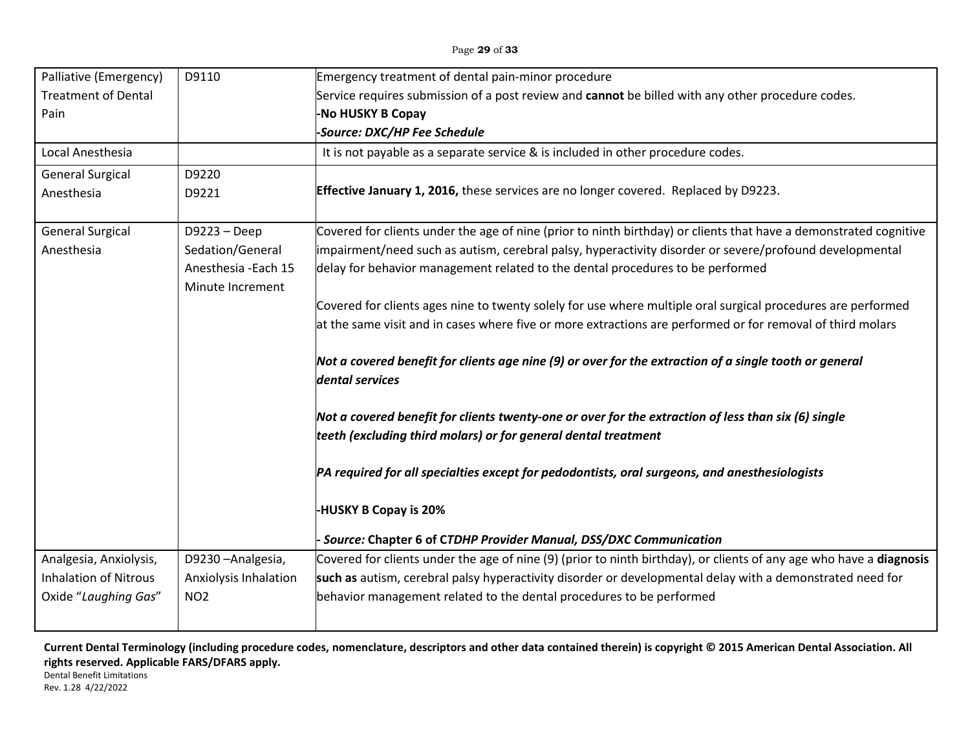| Palliative (Emergency)<br><b>Treatment of Dental</b><br>Pain | D9110                                                                        | Emergency treatment of dental pain-minor procedure<br>Service requires submission of a post review and cannot be billed with any other procedure codes.<br>-No HUSKY B Copay<br>-Source: DXC/HP Fee Schedule                                                                                                                                                                                                                   |
|--------------------------------------------------------------|------------------------------------------------------------------------------|--------------------------------------------------------------------------------------------------------------------------------------------------------------------------------------------------------------------------------------------------------------------------------------------------------------------------------------------------------------------------------------------------------------------------------|
| Local Anesthesia                                             |                                                                              | It is not payable as a separate service & is included in other procedure codes.                                                                                                                                                                                                                                                                                                                                                |
| <b>General Surgical</b><br>Anesthesia                        | D9220<br>D9221                                                               | <b>Effective January 1, 2016, these services are no longer covered. Replaced by D9223.</b>                                                                                                                                                                                                                                                                                                                                     |
| <b>General Surgical</b><br>Anesthesia                        | D9223 - Deep<br>Sedation/General<br>Anesthesia - Each 15<br>Minute Increment | Covered for clients under the age of nine (prior to ninth birthday) or clients that have a demonstrated cognitive<br>impairment/need such as autism, cerebral palsy, hyperactivity disorder or severe/profound developmental<br>delay for behavior management related to the dental procedures to be performed<br>Covered for clients ages nine to twenty solely for use where multiple oral surgical procedures are performed |
|                                                              |                                                                              | at the same visit and in cases where five or more extractions are performed or for removal of third molars<br>Not a covered benefit for clients age nine (9) or over for the extraction of a single tooth or general<br>dental services                                                                                                                                                                                        |
|                                                              |                                                                              | Not a covered benefit for clients twenty-one or over for the extraction of less than six (6) single<br>teeth (excluding third molars) or for general dental treatment                                                                                                                                                                                                                                                          |
|                                                              |                                                                              | PA required for all specialties except for pedodontists, oral surgeons, and anesthesiologists<br>-HUSKY B Copay is 20%                                                                                                                                                                                                                                                                                                         |
|                                                              |                                                                              | Source: Chapter 6 of CTDHP Provider Manual, DSS/DXC Communication                                                                                                                                                                                                                                                                                                                                                              |
| Analgesia, Anxiolysis,<br><b>Inhalation of Nitrous</b>       | D9230-Analgesia,<br>Anxiolysis Inhalation                                    | Covered for clients under the age of nine (9) (prior to ninth birthday), or clients of any age who have a diagnosis<br>such as autism, cerebral palsy hyperactivity disorder or developmental delay with a demonstrated need for                                                                                                                                                                                               |
| Oxide "Laughing Gas"                                         | NO <sub>2</sub>                                                              | behavior management related to the dental procedures to be performed                                                                                                                                                                                                                                                                                                                                                           |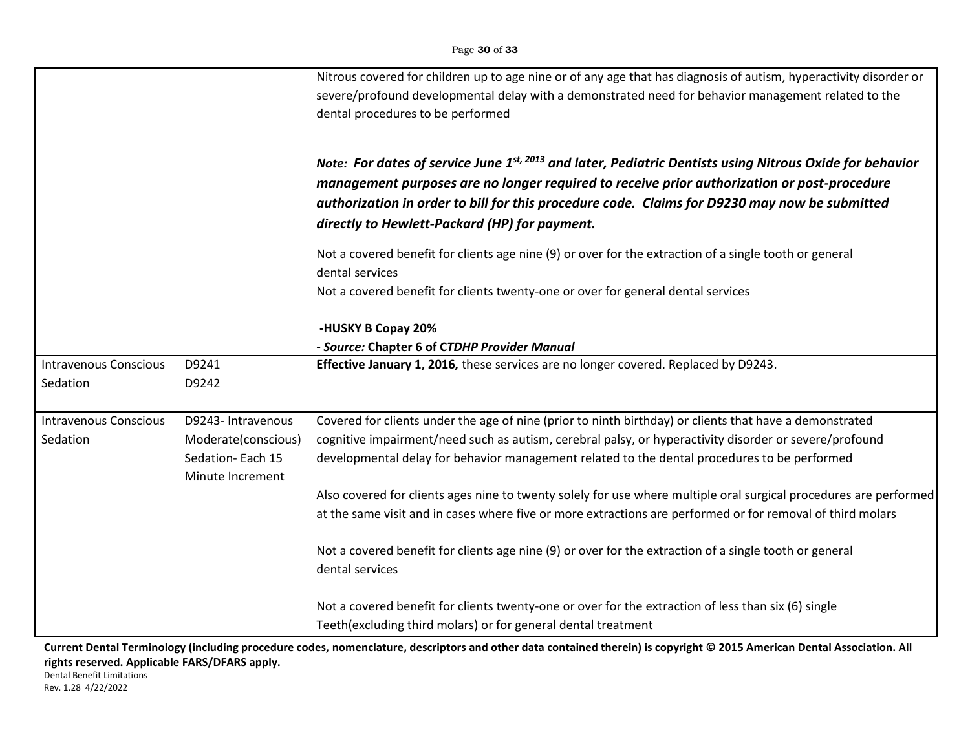|                              |                                      | Nitrous covered for children up to age nine or of any age that has diagnosis of autism, hyperactivity disorder or<br>severe/profound developmental delay with a demonstrated need for behavior management related to the<br>dental procedures to be performed |
|------------------------------|--------------------------------------|---------------------------------------------------------------------------------------------------------------------------------------------------------------------------------------------------------------------------------------------------------------|
|                              |                                      | Note: For dates of service June 1 <sup>st, 2013</sup> and later, Pediatric Dentists using Nitrous Oxide for behavior<br>management purposes are no longer required to receive prior authorization or post-procedure                                           |
|                              |                                      | authorization in order to bill for this procedure code. Claims for D9230 may now be submitted<br>directly to Hewlett-Packard (HP) for payment.                                                                                                                |
|                              |                                      | Not a covered benefit for clients age nine (9) or over for the extraction of a single tooth or general<br>dental services                                                                                                                                     |
|                              |                                      | Not a covered benefit for clients twenty-one or over for general dental services                                                                                                                                                                              |
|                              |                                      | -HUSKY B Copay 20%                                                                                                                                                                                                                                            |
|                              |                                      | Source: Chapter 6 of CTDHP Provider Manual                                                                                                                                                                                                                    |
| <b>Intravenous Conscious</b> | D9241                                | Effective January 1, 2016, these services are no longer covered. Replaced by D9243.                                                                                                                                                                           |
| Sedation                     | D9242                                |                                                                                                                                                                                                                                                               |
| <b>Intravenous Conscious</b> | D9243- Intravenous                   | Covered for clients under the age of nine (prior to ninth birthday) or clients that have a demonstrated                                                                                                                                                       |
| Sedation                     | Moderate(conscious)                  | cognitive impairment/need such as autism, cerebral palsy, or hyperactivity disorder or severe/profound                                                                                                                                                        |
|                              | Sedation-Each 15<br>Minute Increment | developmental delay for behavior management related to the dental procedures to be performed                                                                                                                                                                  |
|                              |                                      | Also covered for clients ages nine to twenty solely for use where multiple oral surgical procedures are performed                                                                                                                                             |
|                              |                                      | at the same visit and in cases where five or more extractions are performed or for removal of third molars                                                                                                                                                    |
|                              |                                      | Not a covered benefit for clients age nine (9) or over for the extraction of a single tooth or general                                                                                                                                                        |
|                              |                                      | dental services                                                                                                                                                                                                                                               |
|                              |                                      | Not a covered benefit for clients twenty-one or over for the extraction of less than six (6) single                                                                                                                                                           |
|                              |                                      | Teeth(excluding third molars) or for general dental treatment                                                                                                                                                                                                 |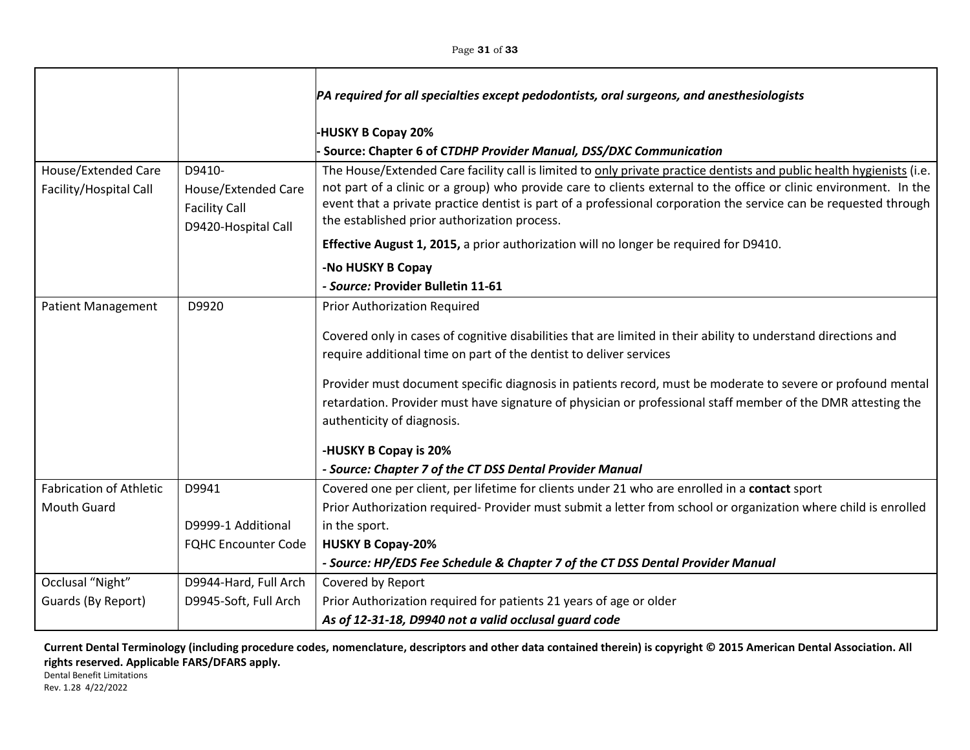|                                               |                                                                              | PA required for all specialties except pedodontists, oral surgeons, and anesthesiologists                                                                                                                                                                                                                                                                                                                      |
|-----------------------------------------------|------------------------------------------------------------------------------|----------------------------------------------------------------------------------------------------------------------------------------------------------------------------------------------------------------------------------------------------------------------------------------------------------------------------------------------------------------------------------------------------------------|
|                                               |                                                                              | -HUSKY B Copay 20%                                                                                                                                                                                                                                                                                                                                                                                             |
|                                               |                                                                              | Source: Chapter 6 of CTDHP Provider Manual, DSS/DXC Communication                                                                                                                                                                                                                                                                                                                                              |
| House/Extended Care<br>Facility/Hospital Call | D9410-<br>House/Extended Care<br><b>Facility Call</b><br>D9420-Hospital Call | The House/Extended Care facility call is limited to only private practice dentists and public health hygienists (i.e.<br>not part of a clinic or a group) who provide care to clients external to the office or clinic environment. In the<br>event that a private practice dentist is part of a professional corporation the service can be requested through<br>the established prior authorization process. |
|                                               |                                                                              | Effective August 1, 2015, a prior authorization will no longer be required for D9410.                                                                                                                                                                                                                                                                                                                          |
|                                               |                                                                              | -No HUSKY B Copay                                                                                                                                                                                                                                                                                                                                                                                              |
|                                               |                                                                              | - Source: Provider Bulletin 11-61                                                                                                                                                                                                                                                                                                                                                                              |
| <b>Patient Management</b>                     | D9920                                                                        | Prior Authorization Required                                                                                                                                                                                                                                                                                                                                                                                   |
|                                               |                                                                              | Covered only in cases of cognitive disabilities that are limited in their ability to understand directions and                                                                                                                                                                                                                                                                                                 |
|                                               |                                                                              | require additional time on part of the dentist to deliver services                                                                                                                                                                                                                                                                                                                                             |
|                                               |                                                                              | Provider must document specific diagnosis in patients record, must be moderate to severe or profound mental                                                                                                                                                                                                                                                                                                    |
|                                               |                                                                              | retardation. Provider must have signature of physician or professional staff member of the DMR attesting the                                                                                                                                                                                                                                                                                                   |
|                                               |                                                                              | authenticity of diagnosis.                                                                                                                                                                                                                                                                                                                                                                                     |
|                                               |                                                                              | -HUSKY B Copay is 20%                                                                                                                                                                                                                                                                                                                                                                                          |
|                                               |                                                                              | - Source: Chapter 7 of the CT DSS Dental Provider Manual                                                                                                                                                                                                                                                                                                                                                       |
| <b>Fabrication of Athletic</b>                | D9941                                                                        | Covered one per client, per lifetime for clients under 21 who are enrolled in a contact sport                                                                                                                                                                                                                                                                                                                  |
| <b>Mouth Guard</b>                            |                                                                              | Prior Authorization required-Provider must submit a letter from school or organization where child is enrolled                                                                                                                                                                                                                                                                                                 |
|                                               | D9999-1 Additional                                                           | in the sport.                                                                                                                                                                                                                                                                                                                                                                                                  |
|                                               | <b>FQHC Encounter Code</b>                                                   | <b>HUSKY B Copay-20%</b>                                                                                                                                                                                                                                                                                                                                                                                       |
|                                               |                                                                              | - Source: HP/EDS Fee Schedule & Chapter 7 of the CT DSS Dental Provider Manual                                                                                                                                                                                                                                                                                                                                 |
| Occlusal "Night"                              | D9944-Hard, Full Arch                                                        | Covered by Report                                                                                                                                                                                                                                                                                                                                                                                              |
| Guards (By Report)                            | D9945-Soft, Full Arch                                                        | Prior Authorization required for patients 21 years of age or older                                                                                                                                                                                                                                                                                                                                             |
|                                               |                                                                              | As of 12-31-18, D9940 not a valid occlusal guard code                                                                                                                                                                                                                                                                                                                                                          |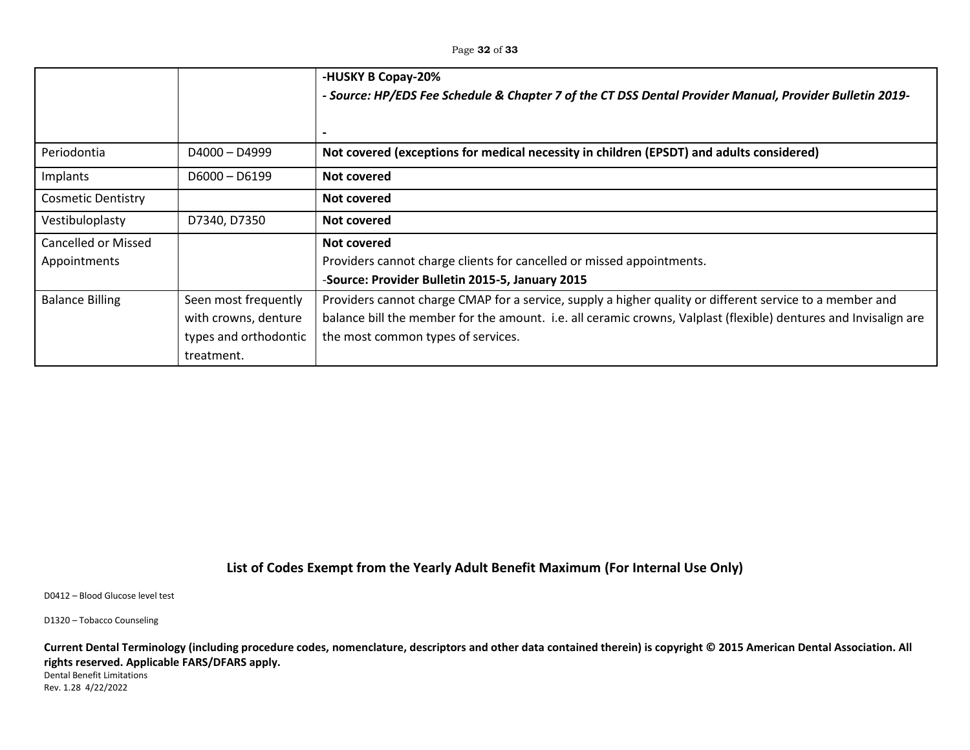Page **32** of **33**

|                           |                       | -HUSKY B Copay-20%<br>- Source: HP/EDS Fee Schedule & Chapter 7 of the CT DSS Dental Provider Manual, Provider Bulletin 2019- |  |
|---------------------------|-----------------------|-------------------------------------------------------------------------------------------------------------------------------|--|
|                           |                       |                                                                                                                               |  |
| Periodontia               | D4000 - D4999         | Not covered (exceptions for medical necessity in children (EPSDT) and adults considered)                                      |  |
| Implants                  | $D6000 - D6199$       | Not covered                                                                                                                   |  |
| <b>Cosmetic Dentistry</b> |                       | Not covered                                                                                                                   |  |
| Vestibuloplasty           | D7340, D7350          | Not covered                                                                                                                   |  |
| Cancelled or Missed       |                       | Not covered                                                                                                                   |  |
| Appointments              |                       | Providers cannot charge clients for cancelled or missed appointments.                                                         |  |
|                           |                       | -Source: Provider Bulletin 2015-5, January 2015                                                                               |  |
| <b>Balance Billing</b>    | Seen most frequently  | Providers cannot charge CMAP for a service, supply a higher quality or different service to a member and                      |  |
|                           | with crowns, denture  | balance bill the member for the amount. i.e. all ceramic crowns, Valplast (flexible) dentures and Invisalign are              |  |
|                           | types and orthodontic | the most common types of services.                                                                                            |  |
|                           | treatment.            |                                                                                                                               |  |

**List of Codes Exempt from the Yearly Adult Benefit Maximum (For Internal Use Only)**

D0412 – Blood Glucose level test

D1320 – Tobacco Counseling

**Current Dental Terminology (including procedure codes, nomenclature, descriptors and other data contained therein) is copyright © 2015 American Dental Association. All rights reserved. Applicable FARS/DFARS apply.** Dental Benefit Limitations

Rev. 1.28 4/22/2022